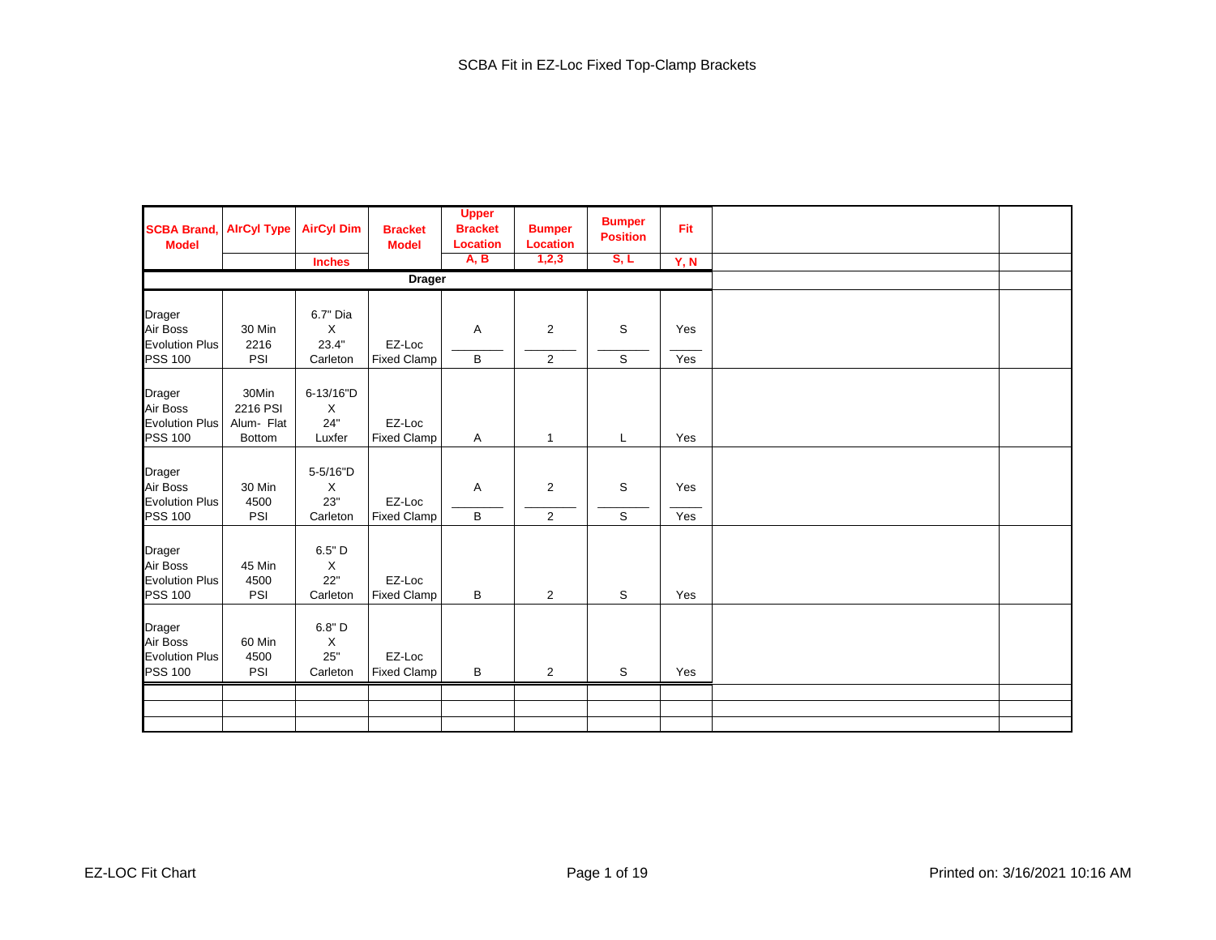| <b>SCBA Brand,</b><br><b>Model</b>                            | <b>AirCyl Type</b>                               | <b>AirCyl Dim</b>                          | <b>Bracket</b><br><b>Model</b> | <b>Upper</b><br><b>Bracket</b><br><b>Location</b> | <b>Bumper</b><br><b>Location</b> | <b>Bumper</b><br><b>Position</b> | Fit        |  |
|---------------------------------------------------------------|--------------------------------------------------|--------------------------------------------|--------------------------------|---------------------------------------------------|----------------------------------|----------------------------------|------------|--|
|                                                               |                                                  | <b>Inches</b>                              |                                | <b>A, B</b>                                       | 1,2,3                            | S, L                             | Y, N       |  |
|                                                               |                                                  |                                            | <b>Drager</b>                  |                                                   |                                  |                                  |            |  |
| Drager<br>Air Boss                                            | 30 Min                                           | 6.7" Dia<br>X                              |                                | Α                                                 | $\overline{2}$                   | S                                | Yes        |  |
| <b>Evolution Plus</b><br><b>PSS 100</b>                       | 2216<br>PSI                                      | 23.4"<br>Carleton                          | EZ-Loc<br><b>Fixed Clamp</b>   | B                                                 | $\overline{2}$                   | S                                | Yes        |  |
| Drager<br>Air Boss<br><b>Evolution Plus</b><br><b>PSS 100</b> | 30Min<br>2216 PSI<br>Alum- Flat<br><b>Bottom</b> | 6-13/16"D<br>X<br>24"<br>Luxfer            | EZ-Loc<br><b>Fixed Clamp</b>   | A                                                 | $\mathbf{1}$                     | L                                | Yes        |  |
| Drager<br>Air Boss<br><b>Evolution Plus</b><br><b>PSS 100</b> | 30 Min<br>4500<br>PSI                            | 5-5/16"D<br>X<br>23"<br>Carleton           | EZ-Loc<br><b>Fixed Clamp</b>   | Α<br>В                                            | $\overline{2}$<br>$\overline{2}$ | S<br>S                           | Yes<br>Yes |  |
| Drager<br>Air Boss<br><b>Evolution Plus</b><br><b>PSS 100</b> | 45 Min<br>4500<br>PSI                            | $6.5"$ D<br>$\mathsf X$<br>22"<br>Carleton | EZ-Loc<br><b>Fixed Clamp</b>   | B                                                 | $\overline{2}$                   | S                                | Yes        |  |
| Drager<br>Air Boss<br><b>Evolution Plus</b><br><b>PSS 100</b> | 60 Min<br>4500<br>PSI                            | 6.8" D<br>X<br>25"<br>Carleton             | EZ-Loc<br><b>Fixed Clamp</b>   | B                                                 | $\overline{2}$                   | S                                | Yes        |  |
|                                                               |                                                  |                                            |                                |                                                   |                                  |                                  |            |  |
|                                                               |                                                  |                                            |                                |                                                   |                                  |                                  |            |  |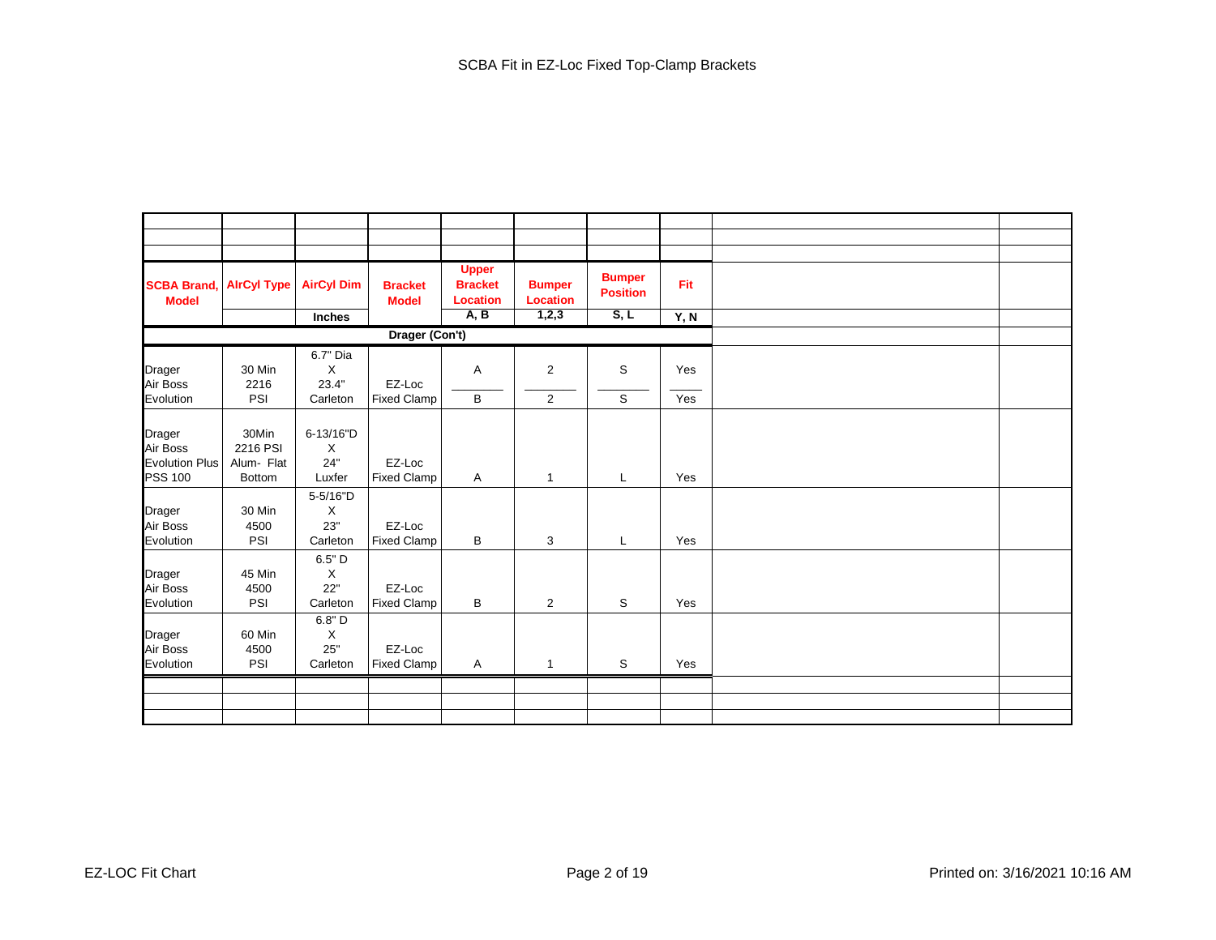| <b>SCBA Brand,</b><br><b>Model</b> | <b>AlrCyl Type</b> | <b>AirCyl Dim</b> | <b>Bracket</b><br><b>Model</b> | <b>Upper</b><br><b>Bracket</b><br><b>Location</b> | <b>Bumper</b><br><b>Location</b> | <b>Bumper</b><br><b>Position</b> | Fit  |  |
|------------------------------------|--------------------|-------------------|--------------------------------|---------------------------------------------------|----------------------------------|----------------------------------|------|--|
|                                    |                    | Inches            |                                | A, B                                              | 1,2,3                            | S, L                             | Y, N |  |
|                                    |                    |                   | Drager (Con't)                 |                                                   |                                  |                                  |      |  |
|                                    |                    | 6.7" Dia          |                                |                                                   |                                  |                                  |      |  |
| Drager                             | 30 Min             | $\times$          |                                | Α                                                 | 2                                | S                                | Yes  |  |
| Air Boss                           | 2216               | 23.4"             | EZ-Loc                         |                                                   |                                  |                                  |      |  |
| Evolution                          | PSI                | Carleton          | <b>Fixed Clamp</b>             | B                                                 | $\overline{2}$                   | S                                | Yes  |  |
|                                    |                    |                   |                                |                                                   |                                  |                                  |      |  |
| Drager                             | 30Min              | 6-13/16"D         |                                |                                                   |                                  |                                  |      |  |
| Air Boss                           | 2216 PSI           | Χ                 |                                |                                                   |                                  |                                  |      |  |
| <b>Evolution Plus</b>              | Alum- Flat         | 24"               | EZ-Loc                         |                                                   |                                  |                                  |      |  |
| <b>PSS 100</b>                     | <b>Bottom</b>      | Luxfer            | <b>Fixed Clamp</b>             | A                                                 | $\mathbf{1}$                     | L                                | Yes  |  |
|                                    |                    | 5-5/16"D          |                                |                                                   |                                  |                                  |      |  |
| Drager                             | 30 Min             | $\times$          |                                |                                                   |                                  |                                  |      |  |
| Air Boss                           | 4500<br>PSI        | 23"<br>Carleton   | EZ-Loc                         |                                                   |                                  |                                  | Yes  |  |
| Evolution                          |                    |                   | <b>Fixed Clamp</b>             | В                                                 | 3                                | L                                |      |  |
|                                    |                    | 6.5" D            |                                |                                                   |                                  |                                  |      |  |
| Drager                             | 45 Min<br>4500     | X<br>22"          | EZ-Loc                         |                                                   |                                  |                                  |      |  |
| Air Boss<br>Evolution              | PSI                | Carleton          | <b>Fixed Clamp</b>             | B                                                 | $\overline{2}$                   | ${\tt S}$                        | Yes  |  |
|                                    |                    | 6.8" D            |                                |                                                   |                                  |                                  |      |  |
| Drager                             | 60 Min             | $\times$          |                                |                                                   |                                  |                                  |      |  |
| Air Boss                           | 4500               | 25"               | EZ-Loc                         |                                                   |                                  |                                  |      |  |
| Evolution                          | PSI                | Carleton          | <b>Fixed Clamp</b>             | A                                                 | 1                                | S                                | Yes  |  |
|                                    |                    |                   |                                |                                                   |                                  |                                  |      |  |
|                                    |                    |                   |                                |                                                   |                                  |                                  |      |  |
|                                    |                    |                   |                                |                                                   |                                  |                                  |      |  |
|                                    |                    |                   |                                |                                                   |                                  |                                  |      |  |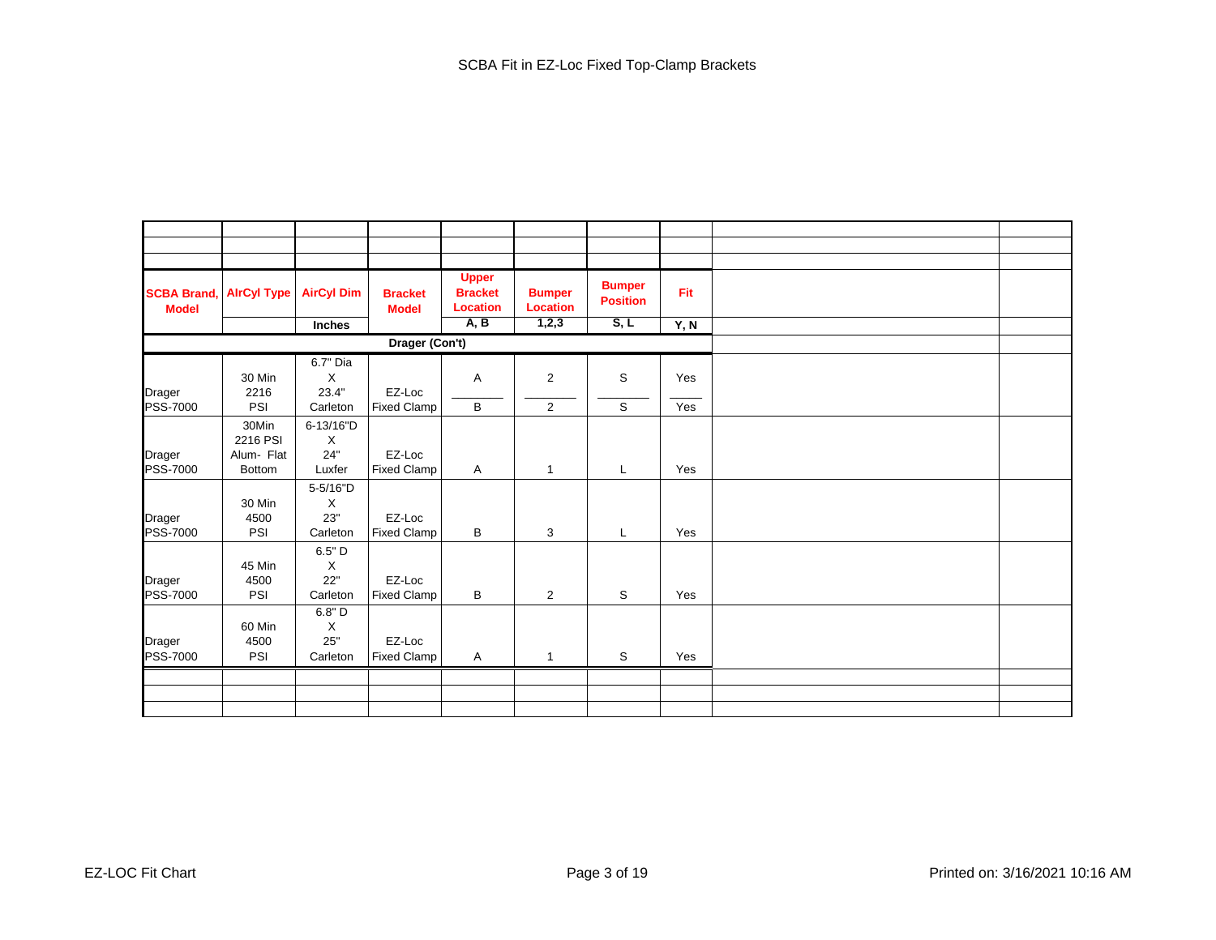| <b>SCBA Brand,</b><br><b>Model</b> | <b>AirCyl Type</b> | <b>AirCyl Dim</b> | <b>Bracket</b><br><b>Model</b> | <b>Upper</b><br><b>Bracket</b><br><b>Location</b> | <b>Bumper</b><br><b>Location</b> | <b>Bumper</b><br><b>Position</b> | Fit  |  |
|------------------------------------|--------------------|-------------------|--------------------------------|---------------------------------------------------|----------------------------------|----------------------------------|------|--|
|                                    |                    | Inches            |                                | A, B                                              | 1,2,3                            | S, L                             | Y, N |  |
|                                    |                    |                   | Drager (Con't)                 |                                                   |                                  |                                  |      |  |
|                                    |                    | 6.7" Dia          |                                |                                                   |                                  |                                  |      |  |
|                                    | 30 Min             | Χ                 |                                | Α                                                 | $\overline{2}$                   | S                                | Yes  |  |
| Drager                             | 2216               | 23.4"             | EZ-Loc                         |                                                   |                                  |                                  |      |  |
| <b>PSS-7000</b>                    | PSI                | Carleton          | <b>Fixed Clamp</b>             | В                                                 | 2                                | S                                | Yes  |  |
|                                    | 30Min              | 6-13/16"D         |                                |                                                   |                                  |                                  |      |  |
|                                    | 2216 PSI           | X                 |                                |                                                   |                                  |                                  |      |  |
| Drager                             | Alum- Flat         | 24"               | EZ-Loc                         |                                                   |                                  |                                  |      |  |
| <b>PSS-7000</b>                    | <b>Bottom</b>      | Luxfer            | <b>Fixed Clamp</b>             | A                                                 | $\mathbf{1}$                     | L                                | Yes  |  |
|                                    |                    | 5-5/16"D          |                                |                                                   |                                  |                                  |      |  |
|                                    | 30 Min             | X                 |                                |                                                   |                                  |                                  |      |  |
| Drager                             | 4500               | 23"               | EZ-Loc                         |                                                   |                                  |                                  |      |  |
| PSS-7000                           | PSI                | Carleton          | <b>Fixed Clamp</b>             | B                                                 | 3                                | L                                | Yes  |  |
|                                    |                    | 6.5" D            |                                |                                                   |                                  |                                  |      |  |
|                                    | 45 Min             | X                 |                                |                                                   |                                  |                                  |      |  |
| Drager                             | 4500               | 22"               | EZ-Loc                         |                                                   |                                  |                                  |      |  |
| <b>PSS-7000</b>                    | PSI                | Carleton          | <b>Fixed Clamp</b>             | B                                                 | $\overline{2}$                   | S                                | Yes  |  |
|                                    |                    | $6.8"$ D          |                                |                                                   |                                  |                                  |      |  |
|                                    | 60 Min             | $\mathsf X$       |                                |                                                   |                                  |                                  |      |  |
| Drager                             | 4500               | 25"               | EZ-Loc                         |                                                   |                                  |                                  |      |  |
| <b>PSS-7000</b>                    | PSI                | Carleton          | <b>Fixed Clamp</b>             | A                                                 | $\mathbf{1}$                     | $\mathbb S$                      | Yes  |  |
|                                    |                    |                   |                                |                                                   |                                  |                                  |      |  |
|                                    |                    |                   |                                |                                                   |                                  |                                  |      |  |
|                                    |                    |                   |                                |                                                   |                                  |                                  |      |  |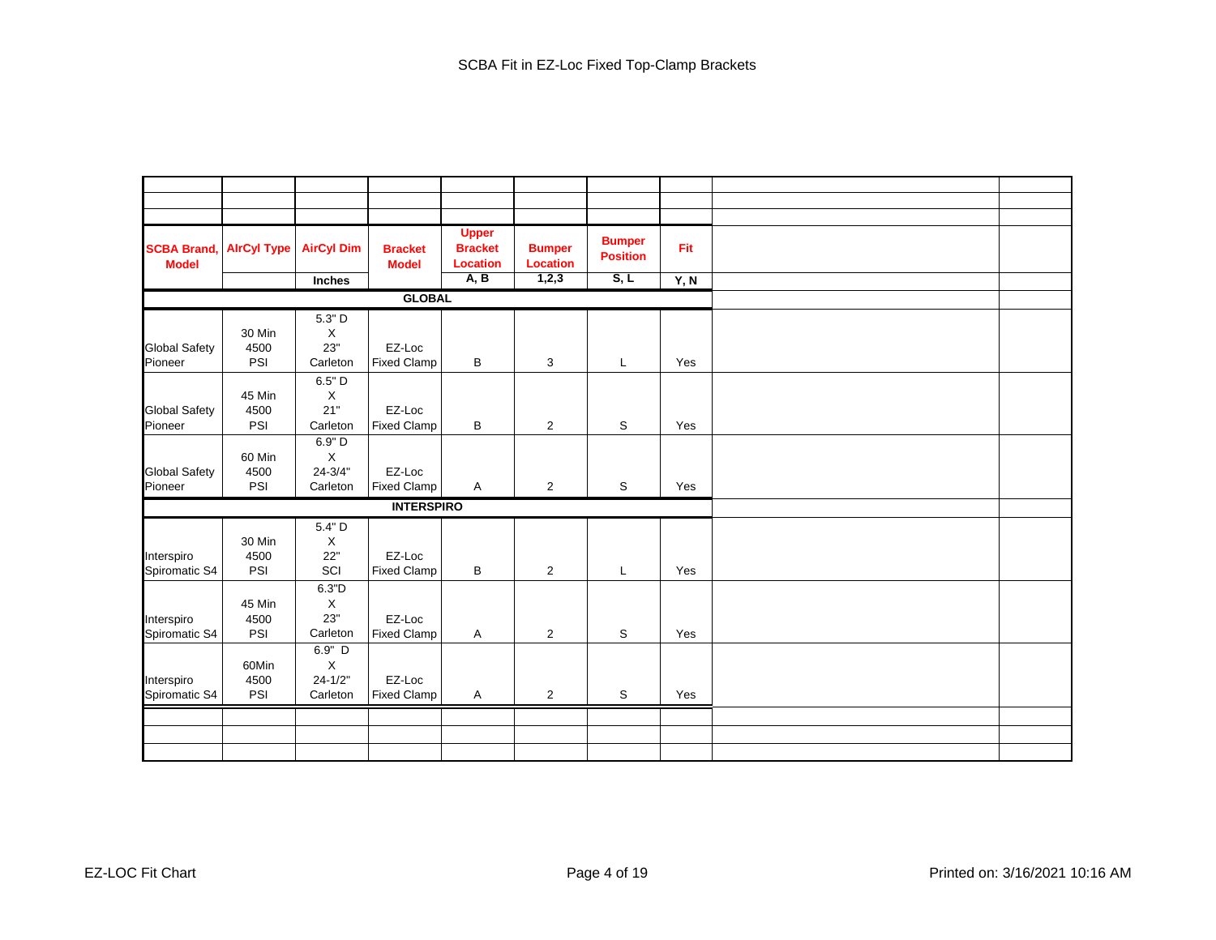| <b>SCBA Brand,</b><br><b>Model</b> | <b>AirCyl Type</b>    | <b>AirCyl Dim</b><br>Inches                      | <b>Bracket</b><br><b>Model</b> | <b>Upper</b><br><b>Bracket</b><br><b>Location</b><br>A, B | <b>Bumper</b><br><b>Location</b><br>1,2,3 | <b>Bumper</b><br><b>Position</b><br>S, L | Fit<br>Y, N |  |
|------------------------------------|-----------------------|--------------------------------------------------|--------------------------------|-----------------------------------------------------------|-------------------------------------------|------------------------------------------|-------------|--|
|                                    |                       |                                                  | <b>GLOBAL</b>                  |                                                           |                                           |                                          |             |  |
|                                    |                       | 5.3" D                                           |                                |                                                           |                                           |                                          |             |  |
| <b>Global Safety</b><br>Pioneer    | 30 Min<br>4500<br>PSI | $\mathsf X$<br>23"<br>Carleton                   | EZ-Loc<br><b>Fixed Clamp</b>   | В                                                         | 3                                         | L                                        | Yes         |  |
| <b>Global Safety</b><br>Pioneer    | 45 Min<br>4500<br>PSI | 6.5" D<br>$\mathsf X$<br>21"<br>Carleton         | EZ-Loc<br><b>Fixed Clamp</b>   | В                                                         | $\overline{2}$                            | S                                        | Yes         |  |
| <b>Global Safety</b><br>Pioneer    | 60 Min<br>4500<br>PSI | 6.9" D<br>$\mathsf X$<br>$24 - 3/4"$<br>Carleton | EZ-Loc<br><b>Fixed Clamp</b>   | A                                                         | $\overline{2}$                            | S                                        | Yes         |  |
|                                    |                       |                                                  | <b>INTERSPIRO</b>              |                                                           |                                           |                                          |             |  |
| Interspiro<br>Spiromatic S4        | 30 Min<br>4500<br>PSI | 5.4" D<br>$\mathsf X$<br>22"<br>SCI              | EZ-Loc<br><b>Fixed Clamp</b>   | В                                                         | $\overline{2}$                            | L                                        | Yes         |  |
| Interspiro<br>Spiromatic S4        | 45 Min<br>4500<br>PSI | 6.3"D<br>$\mathsf X$<br>23"<br>Carleton          | EZ-Loc<br><b>Fixed Clamp</b>   | A                                                         | $\overline{2}$                            | S                                        | Yes         |  |
| Interspiro<br>Spiromatic S4        | 60Min<br>4500<br>PSI  | 6.9" D<br>$\mathsf X$<br>$24 - 1/2"$<br>Carleton | EZ-Loc<br><b>Fixed Clamp</b>   | $\mathsf{A}$                                              | $\overline{2}$                            | S                                        | Yes         |  |
|                                    |                       |                                                  |                                |                                                           |                                           |                                          |             |  |
|                                    |                       |                                                  |                                |                                                           |                                           |                                          |             |  |
|                                    |                       |                                                  |                                |                                                           |                                           |                                          |             |  |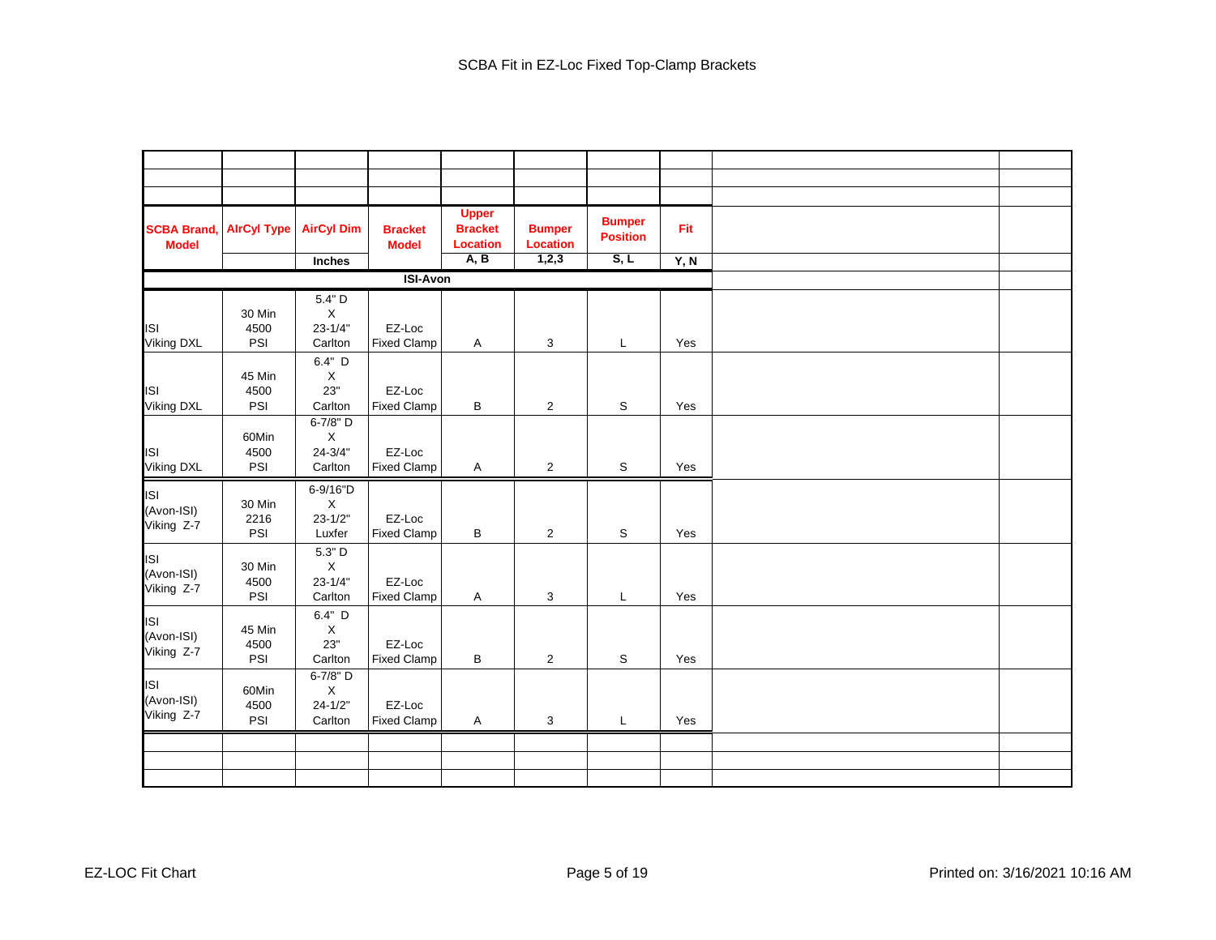| <b>SCBA Brand,</b><br><b>Model</b>     | <b>AlrCyl Type</b>    | <b>AirCyl Dim</b>                                 | <b>Bracket</b><br><b>Model</b> | <b>Upper</b><br><b>Bracket</b><br><b>Location</b><br>A, B | <b>Bumper</b><br><b>Location</b><br>1,2,3 | <b>Bumper</b><br><b>Position</b><br>S, L | Fit  |  |
|----------------------------------------|-----------------------|---------------------------------------------------|--------------------------------|-----------------------------------------------------------|-------------------------------------------|------------------------------------------|------|--|
|                                        |                       | Inches                                            |                                |                                                           |                                           |                                          | Y, N |  |
|                                        |                       |                                                   | <b>ISI-Avon</b>                |                                                           |                                           |                                          |      |  |
| <b>ISI</b><br>Viking DXL               | 30 Min<br>4500<br>PSI | 5.4" D<br>X<br>$23 - 1/4"$<br>Carlton             | EZ-Loc<br><b>Fixed Clamp</b>   | Α                                                         | 3                                         | L                                        | Yes  |  |
| <b>ISI</b><br><b>Viking DXL</b>        | 45 Min<br>4500<br>PSI | 6.4" D<br>$\mathsf X$<br>23"<br>Carlton           | EZ-Loc<br><b>Fixed Clamp</b>   | $\sf B$                                                   | $\overline{2}$                            | $\mathbb S$                              | Yes  |  |
| <b>ISI</b><br>Viking DXL               | 60Min<br>4500<br>PSI  | 6-7/8" D<br>$\mathsf X$<br>$24 - 3/4"$<br>Carlton | EZ-Loc<br><b>Fixed Clamp</b>   | $\mathsf{A}$                                              | $\overline{2}$                            | S                                        | Yes  |  |
| ISI<br>(Avon-ISI)<br>Viking Z-7        | 30 Min<br>2216<br>PSI | 6-9/16"D<br>$\mathsf X$<br>$23 - 1/2"$<br>Luxfer  | EZ-Loc<br><b>Fixed Clamp</b>   | В                                                         | $\overline{2}$                            | S                                        | Yes  |  |
| <b>ISI</b><br>(Avon-ISI)<br>Viking Z-7 | 30 Min<br>4500<br>PSI | 5.3" D<br>$\mathsf X$<br>$23 - 1/4"$<br>Carlton   | EZ-Loc<br><b>Fixed Clamp</b>   | A                                                         | 3                                         | L                                        | Yes  |  |
| <b>ISI</b><br>(Avon-ISI)<br>Viking Z-7 | 45 Min<br>4500<br>PSI | 6.4" D<br>$\mathsf X$<br>23"<br>Carlton           | EZ-Loc<br><b>Fixed Clamp</b>   | B                                                         | $\overline{2}$                            | $\mathbb S$                              | Yes  |  |
| <b>ISI</b><br>(Avon-ISI)<br>Viking Z-7 | 60Min<br>4500<br>PSI  | 6-7/8" D<br>$\mathsf X$<br>$24 - 1/2"$<br>Carlton | EZ-Loc<br><b>Fixed Clamp</b>   | Α                                                         | 3                                         | L                                        | Yes  |  |
|                                        |                       |                                                   |                                |                                                           |                                           |                                          |      |  |
|                                        |                       |                                                   |                                |                                                           |                                           |                                          |      |  |
|                                        |                       |                                                   |                                |                                                           |                                           |                                          |      |  |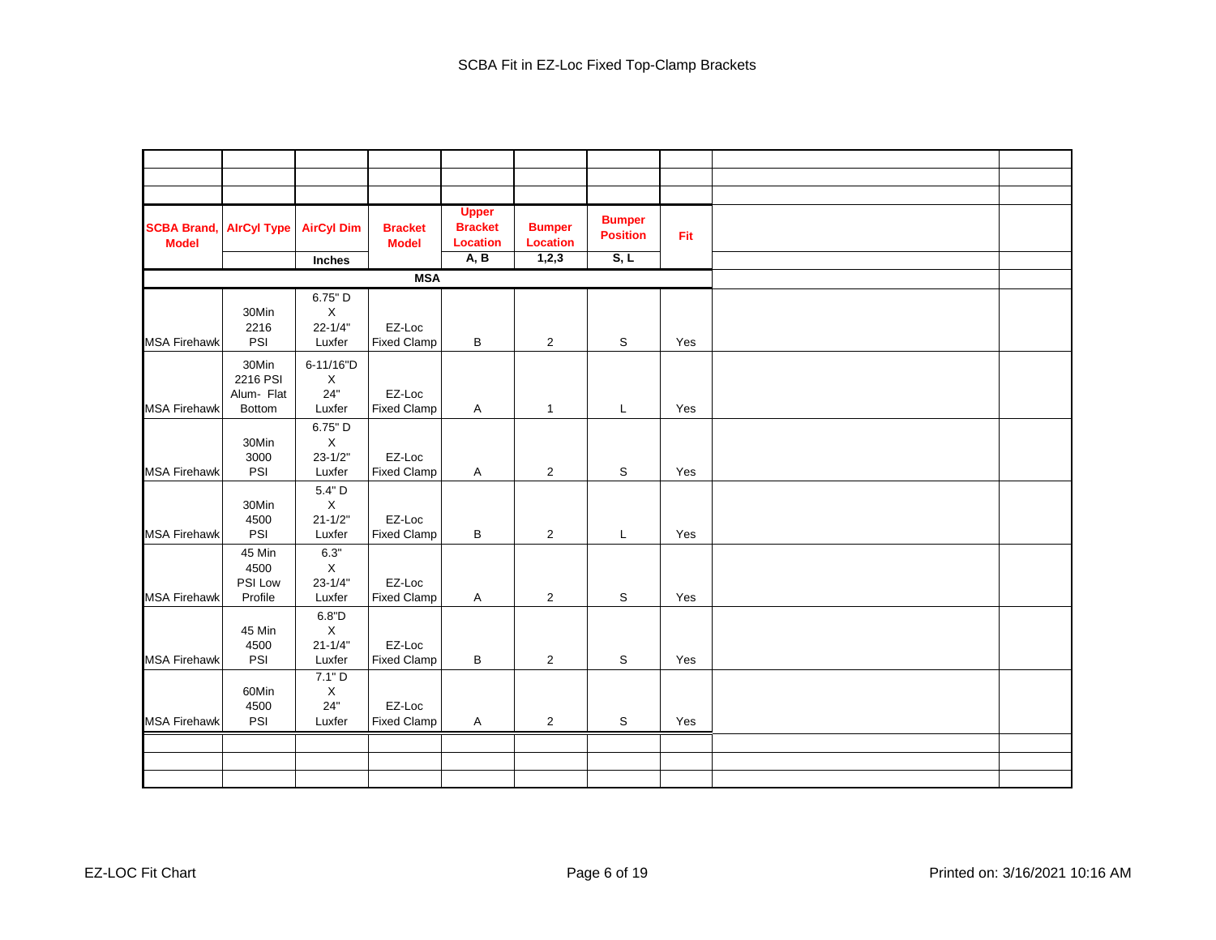| <b>SCBA Brand</b><br><b>Model</b> | <b>AlrCyl Type</b>                               | <b>AirCyl Dim</b>                               | <b>Bracket</b><br><b>Model</b> | <b>Upper</b><br><b>Bracket</b><br><b>Location</b><br>A, B | <b>Bumper</b><br><b>Location</b><br>1,2,3 | <b>Bumper</b><br><b>Position</b><br>S, L | Fit |  |
|-----------------------------------|--------------------------------------------------|-------------------------------------------------|--------------------------------|-----------------------------------------------------------|-------------------------------------------|------------------------------------------|-----|--|
|                                   |                                                  | Inches                                          |                                |                                                           |                                           |                                          |     |  |
|                                   |                                                  |                                                 | <b>MSA</b>                     |                                                           |                                           |                                          |     |  |
| <b>MSA Firehawk</b>               | 30Min<br>2216<br>PSI                             | 6.75" D<br>$\mathsf X$<br>$22 - 1/4"$<br>Luxfer | EZ-Loc<br><b>Fixed Clamp</b>   | B                                                         | $\overline{2}$                            | S                                        | Yes |  |
| <b>MSA Firehawk</b>               | 30Min<br>2216 PSI<br>Alum- Flat<br><b>Bottom</b> | 6-11/16"D<br>X<br>24"<br>Luxfer                 | EZ-Loc<br><b>Fixed Clamp</b>   | Α                                                         | $\mathbf{1}$                              | L                                        | Yes |  |
| <b>MSA Firehawk</b>               | 30Min<br>3000<br>PSI                             | 6.75" D<br>X<br>$23 - 1/2"$<br>Luxfer           | EZ-Loc<br><b>Fixed Clamp</b>   | Α                                                         | $\mathbf 2$                               | S                                        | Yes |  |
| <b>MSA Firehawk</b>               | 30Min<br>4500<br>PSI                             | 5.4" D<br>$\mathsf X$<br>$21 - 1/2"$<br>Luxfer  | EZ-Loc<br><b>Fixed Clamp</b>   | В                                                         | $\overline{2}$                            | L                                        | Yes |  |
| <b>MSA Firehawk</b>               | 45 Min<br>4500<br>PSI Low<br>Profile             | 6.3"<br>$\sf X$<br>$23 - 1/4"$<br>Luxfer        | EZ-Loc<br><b>Fixed Clamp</b>   | Α                                                         | 2                                         | S                                        | Yes |  |
| <b>MSA Firehawk</b>               | 45 Min<br>4500<br>PSI                            | 6.8"D<br>X<br>$21 - 1/4"$<br>Luxfer             | EZ-Loc<br><b>Fixed Clamp</b>   | B                                                         | $\overline{2}$                            | S                                        | Yes |  |
| <b>MSA Firehawk</b>               | 60Min<br>4500<br>PSI                             | 7.1" D<br>X<br>24"<br>Luxfer                    | EZ-Loc<br><b>Fixed Clamp</b>   | Α                                                         | $\overline{2}$                            | S                                        | Yes |  |
|                                   |                                                  |                                                 |                                |                                                           |                                           |                                          |     |  |
|                                   |                                                  |                                                 |                                |                                                           |                                           |                                          |     |  |
|                                   |                                                  |                                                 |                                |                                                           |                                           |                                          |     |  |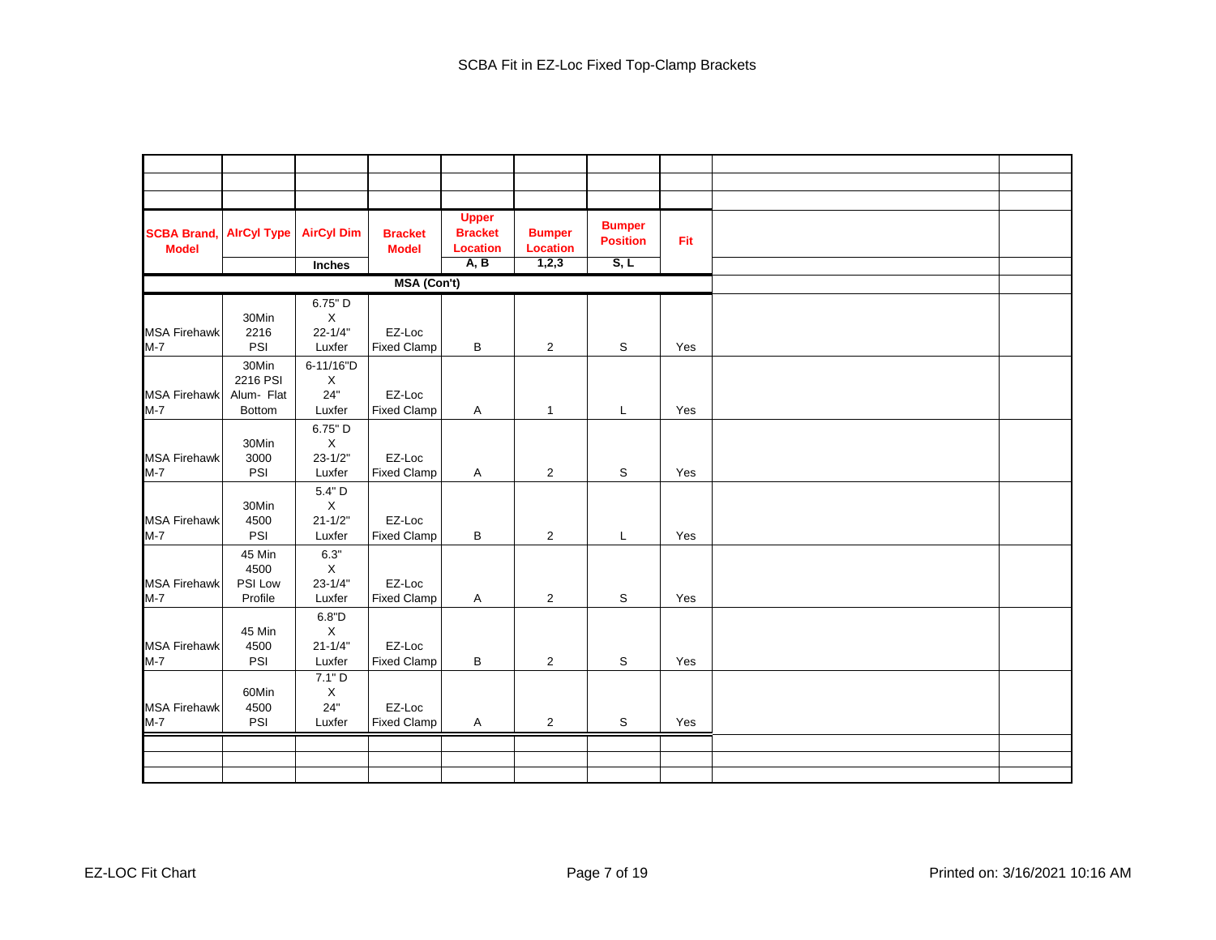| <b>SCBA Brand,</b><br><b>Model</b> | <b>AirCyl Type</b>                        | <b>AirCyl Dim</b><br>Inches                         | <b>Bracket</b><br><b>Model</b> | <b>Upper</b><br><b>Bracket</b><br><b>Location</b><br>A, B | <b>Bumper</b><br><b>Location</b><br>1,2,3 | <b>Bumper</b><br><b>Position</b><br>S, L | Fit |  |
|------------------------------------|-------------------------------------------|-----------------------------------------------------|--------------------------------|-----------------------------------------------------------|-------------------------------------------|------------------------------------------|-----|--|
|                                    |                                           |                                                     | <b>MSA (Con't)</b>             |                                                           |                                           |                                          |     |  |
|                                    |                                           | 6.75" D                                             |                                |                                                           |                                           |                                          |     |  |
| <b>MSA Firehawk</b><br>$M-7$       | 30Min<br>2216<br>PSI                      | X<br>$22 - 1/4"$<br>Luxfer                          | EZ-Loc<br><b>Fixed Clamp</b>   | В                                                         | $\overline{2}$                            | S                                        | Yes |  |
| <b>MSA Firehawk</b><br>$M-7$       | 30Min<br>2216 PSI<br>Alum- Flat<br>Bottom | 6-11/16"D<br>X<br>24"<br>Luxfer                     | EZ-Loc<br><b>Fixed Clamp</b>   | Α                                                         | $\mathbf{1}$                              | L                                        | Yes |  |
| <b>MSA Firehawk</b><br>$M-7$       | 30Min<br>3000<br>PSI                      | 6.75" D<br>X<br>$23 - 1/2"$<br>Luxfer               | EZ-Loc<br><b>Fixed Clamp</b>   | Α                                                         | $\overline{2}$                            | S                                        | Yes |  |
| <b>MSA Firehawk</b><br>$M-7$       | 30Min<br>4500<br>PSI                      | 5.4" D<br>$\mathsf X$<br>$21 - 1/2"$<br>Luxfer      | EZ-Loc<br><b>Fixed Clamp</b>   | В                                                         | $\overline{2}$                            | L                                        | Yes |  |
| <b>MSA Firehawk</b><br>$M-7$       | 45 Min<br>4500<br>PSI Low<br>Profile      | 6.3"<br>$\mathsf X$<br>$23 - 1/4"$<br>Luxfer        | EZ-Loc<br><b>Fixed Clamp</b>   | Α                                                         | $\overline{2}$                            | S                                        | Yes |  |
| <b>MSA Firehawk</b><br>$M-7$       | 45 Min<br>4500<br>PSI                     | 6.8"D<br>$\mathsf X$<br>$21 - 1/4"$<br>Luxfer       | EZ-Loc<br><b>Fixed Clamp</b>   | В                                                         | $\overline{2}$                            | S                                        | Yes |  |
| <b>MSA Firehawk</b><br>$M-7$       | 60Min<br>4500<br>PSI                      | 7.1"D<br>$\boldsymbol{\mathsf{X}}$<br>24"<br>Luxfer | EZ-Loc<br><b>Fixed Clamp</b>   | Α                                                         | $\overline{2}$                            | S                                        | Yes |  |
|                                    |                                           |                                                     |                                |                                                           |                                           |                                          |     |  |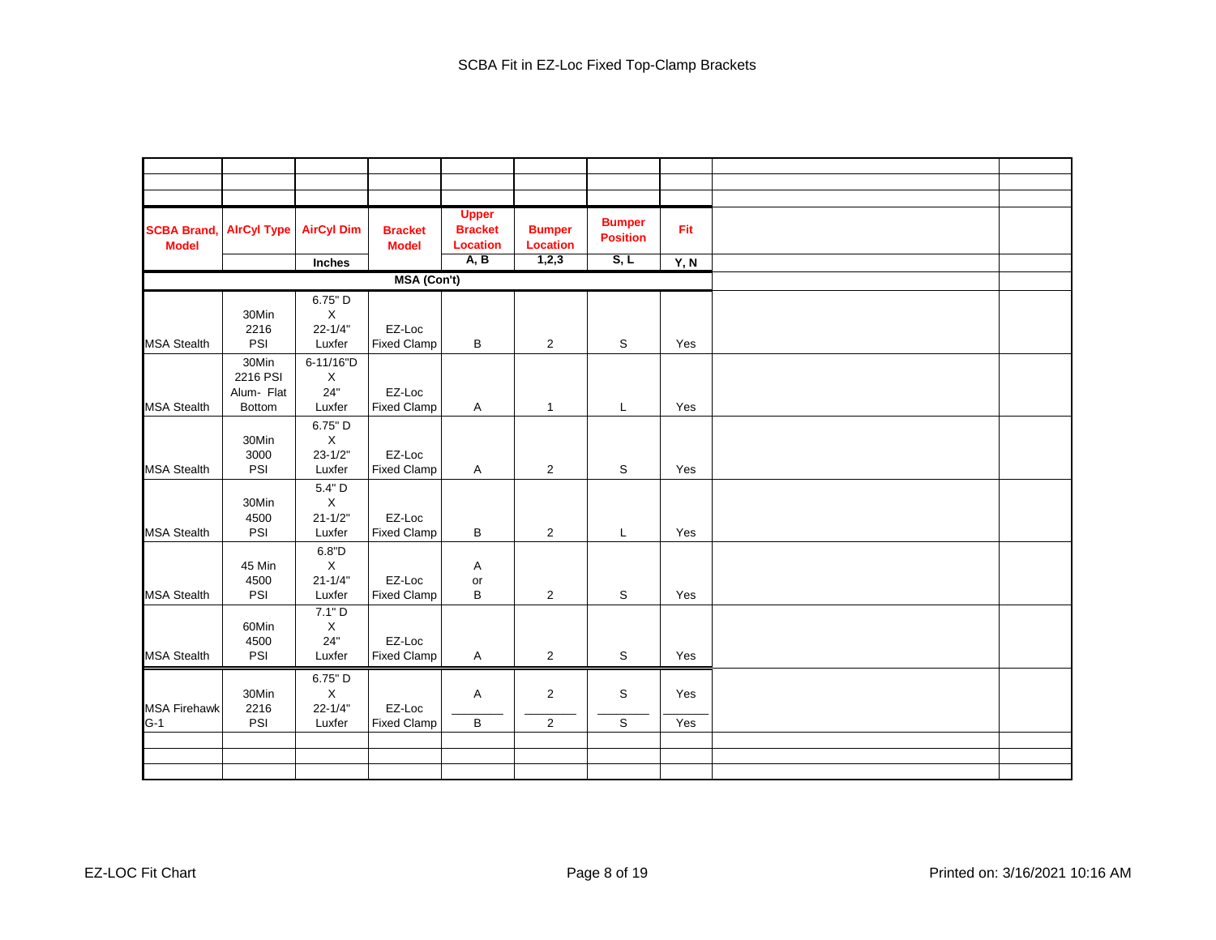| <b>SCBA Brand</b><br><b>Model</b> | <b>AirCyl Type</b>              | <b>AirCyl Dim</b>                     | <b>Bracket</b><br><b>Model</b> | <b>Upper</b><br><b>Bracket</b><br><b>Location</b> | <b>Bumper</b><br>Location | <b>Bumper</b><br><b>Position</b> | Fit  |  |
|-----------------------------------|---------------------------------|---------------------------------------|--------------------------------|---------------------------------------------------|---------------------------|----------------------------------|------|--|
|                                   |                                 | Inches                                |                                | A, B                                              | 1,2,3                     | S, L                             | Y, N |  |
|                                   |                                 |                                       | MSA (Con't)                    |                                                   |                           |                                  |      |  |
|                                   | 30Min                           | 6.75" D<br>X                          |                                |                                                   |                           |                                  |      |  |
|                                   | 2216                            | $22 - 1/4"$                           | EZ-Loc                         |                                                   |                           |                                  |      |  |
| <b>MSA Stealth</b>                | PSI                             | Luxfer                                | <b>Fixed Clamp</b>             | В                                                 | $\overline{2}$            | S                                | Yes  |  |
|                                   | 30Min<br>2216 PSI<br>Alum- Flat | 6-11/16"D<br>X<br>24"                 | EZ-Loc                         |                                                   |                           |                                  |      |  |
| <b>MSA Stealth</b>                | <b>Bottom</b>                   | Luxfer                                | <b>Fixed Clamp</b>             | Α                                                 | $\mathbf{1}$              | L                                | Yes  |  |
|                                   | 30Min<br>3000                   | 6.75" D<br>$\mathsf X$<br>$23 - 1/2"$ | EZ-Loc                         |                                                   |                           |                                  |      |  |
| <b>MSA Stealth</b>                | PSI                             | Luxfer                                | <b>Fixed Clamp</b>             | Α                                                 | $\overline{2}$            | S                                | Yes  |  |
|                                   | 30Min<br>4500                   | 5.4" D<br>$\mathsf X$<br>$21 - 1/2"$  | EZ-Loc                         |                                                   |                           |                                  |      |  |
| <b>MSA Stealth</b>                | PSI                             | Luxfer                                | <b>Fixed Clamp</b>             | B                                                 | 2                         | L                                | Yes  |  |
|                                   | 45 Min<br>4500                  | $6.8"D$<br>X<br>$21 - 1/4"$           | EZ-Loc                         | Α<br>or                                           |                           |                                  |      |  |
| <b>MSA Stealth</b>                | PSI<br>60Min                    | Luxfer<br>7.1" D<br>$\mathsf X$       | <b>Fixed Clamp</b>             | B                                                 | $\overline{2}$            | S                                | Yes  |  |
| <b>MSA Stealth</b>                | 4500<br>PSI                     | 24"<br>Luxfer                         | EZ-Loc<br><b>Fixed Clamp</b>   | $\mathsf{A}$                                      | $\overline{\mathbf{c}}$   | $\mathbb S$                      | Yes  |  |
| <b>MSA Firehawk</b>               | 30Min<br>2216                   | 6.75" D<br>X<br>$22 - 1/4"$           | EZ-Loc                         | Α                                                 | $\overline{c}$            | S                                | Yes  |  |
| $G-1$                             | PSI                             | Luxfer                                | <b>Fixed Clamp</b>             | $\sf B$                                           | $\overline{2}$            | $\mathbb S$                      | Yes  |  |
|                                   |                                 |                                       |                                |                                                   |                           |                                  |      |  |
|                                   |                                 |                                       |                                |                                                   |                           |                                  |      |  |
|                                   |                                 |                                       |                                |                                                   |                           |                                  |      |  |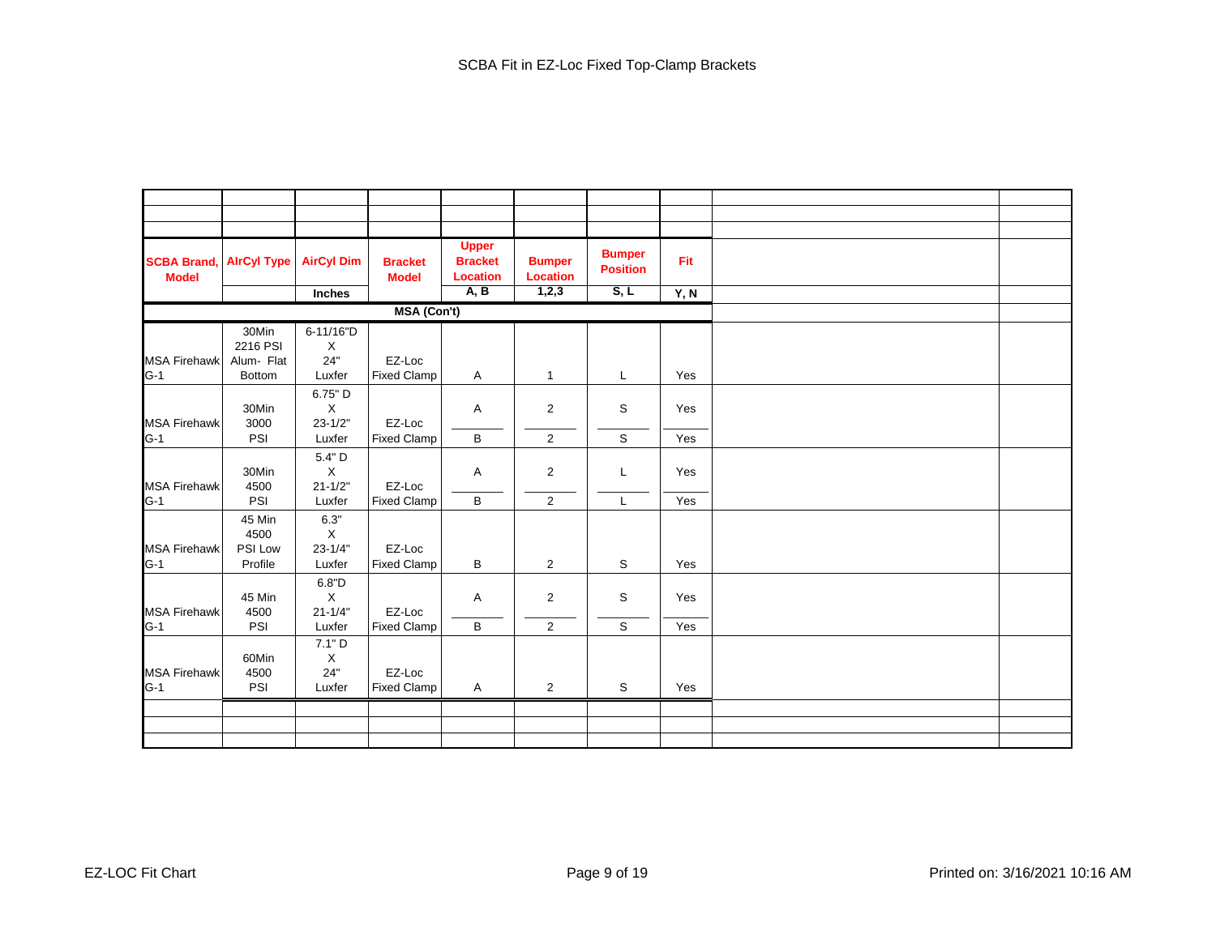| <b>SCBA Brand,</b><br><b>Model</b> | <b>AlrCyl Type</b> | <b>AirCyl Dim</b>          | <b>Bracket</b><br><b>Model</b> | <b>Upper</b><br><b>Bracket</b><br><b>Location</b> | <b>Bumper</b><br><b>Location</b> | <b>Bumper</b><br><b>Position</b> | Fit  |  |
|------------------------------------|--------------------|----------------------------|--------------------------------|---------------------------------------------------|----------------------------------|----------------------------------|------|--|
|                                    |                    | Inches                     |                                | A, B                                              | 1,2,3                            | S, L                             | Y, N |  |
|                                    |                    |                            | <b>MSA (Con't)</b>             |                                                   |                                  |                                  |      |  |
|                                    | 30Min              | 6-11/16"D                  |                                |                                                   |                                  |                                  |      |  |
|                                    | 2216 PSI           | X                          |                                |                                                   |                                  |                                  |      |  |
| <b>MSA Firehawk</b>                | Alum- Flat         | 24"                        | EZ-Loc                         |                                                   |                                  |                                  |      |  |
| $G-1$                              | <b>Bottom</b>      | Luxfer                     | <b>Fixed Clamp</b>             | Α                                                 | $\mathbf{1}$                     | L                                | Yes  |  |
|                                    |                    | 6.75" D                    |                                |                                                   |                                  |                                  |      |  |
|                                    | 30Min              | $\mathsf X$                |                                | Α                                                 | $\overline{2}$                   | S                                | Yes  |  |
| <b>MSA Firehawk</b>                | 3000               | $23 - 1/2"$                | EZ-Loc                         |                                                   |                                  |                                  |      |  |
| $G-1$                              | PSI                | Luxfer                     | <b>Fixed Clamp</b>             | В                                                 | $\overline{2}$                   | $\mathbb S$                      | Yes  |  |
|                                    |                    | 5.4" D                     |                                |                                                   |                                  |                                  |      |  |
|                                    | 30Min              | X                          |                                | Α                                                 | $\overline{2}$                   | L                                | Yes  |  |
| <b>MSA Firehawk</b>                | 4500               | $21 - 1/2"$                | EZ-Loc                         |                                                   |                                  |                                  |      |  |
| $G-1$                              | PSI                | Luxfer                     | <b>Fixed Clamp</b>             | B                                                 | $\overline{2}$                   | L                                | Yes  |  |
|                                    | 45 Min             | 6.3"                       |                                |                                                   |                                  |                                  |      |  |
|                                    | 4500               | $\mathsf X$                | EZ-Loc                         |                                                   |                                  |                                  |      |  |
| <b>MSA Firehawk</b><br>$G-1$       | PSI Low            | $23 - 1/4"$                |                                |                                                   |                                  |                                  |      |  |
|                                    | Profile            | Luxfer                     | <b>Fixed Clamp</b>             | В                                                 | $\overline{2}$                   | S                                | Yes  |  |
|                                    |                    | 6.8"D                      |                                |                                                   |                                  |                                  |      |  |
| <b>MSA Firehawk</b>                | 45 Min<br>4500     | $\mathsf X$<br>$21 - 1/4"$ | EZ-Loc                         | Α                                                 | $\overline{2}$                   | S                                | Yes  |  |
| $G-1$                              | PSI                | Luxfer                     | <b>Fixed Clamp</b>             | B                                                 | $\overline{2}$                   | $\mathbb S$                      | Yes  |  |
|                                    |                    | 7.1"D                      |                                |                                                   |                                  |                                  |      |  |
|                                    | 60Min              | X                          |                                |                                                   |                                  |                                  |      |  |
| <b>MSA Firehawk</b>                | 4500               | 24"                        | EZ-Loc                         |                                                   |                                  |                                  |      |  |
| $G-1$                              | PSI                | Luxfer                     | <b>Fixed Clamp</b>             | A                                                 | $\overline{2}$                   | S                                | Yes  |  |
|                                    |                    |                            |                                |                                                   |                                  |                                  |      |  |
|                                    |                    |                            |                                |                                                   |                                  |                                  |      |  |
|                                    |                    |                            |                                |                                                   |                                  |                                  |      |  |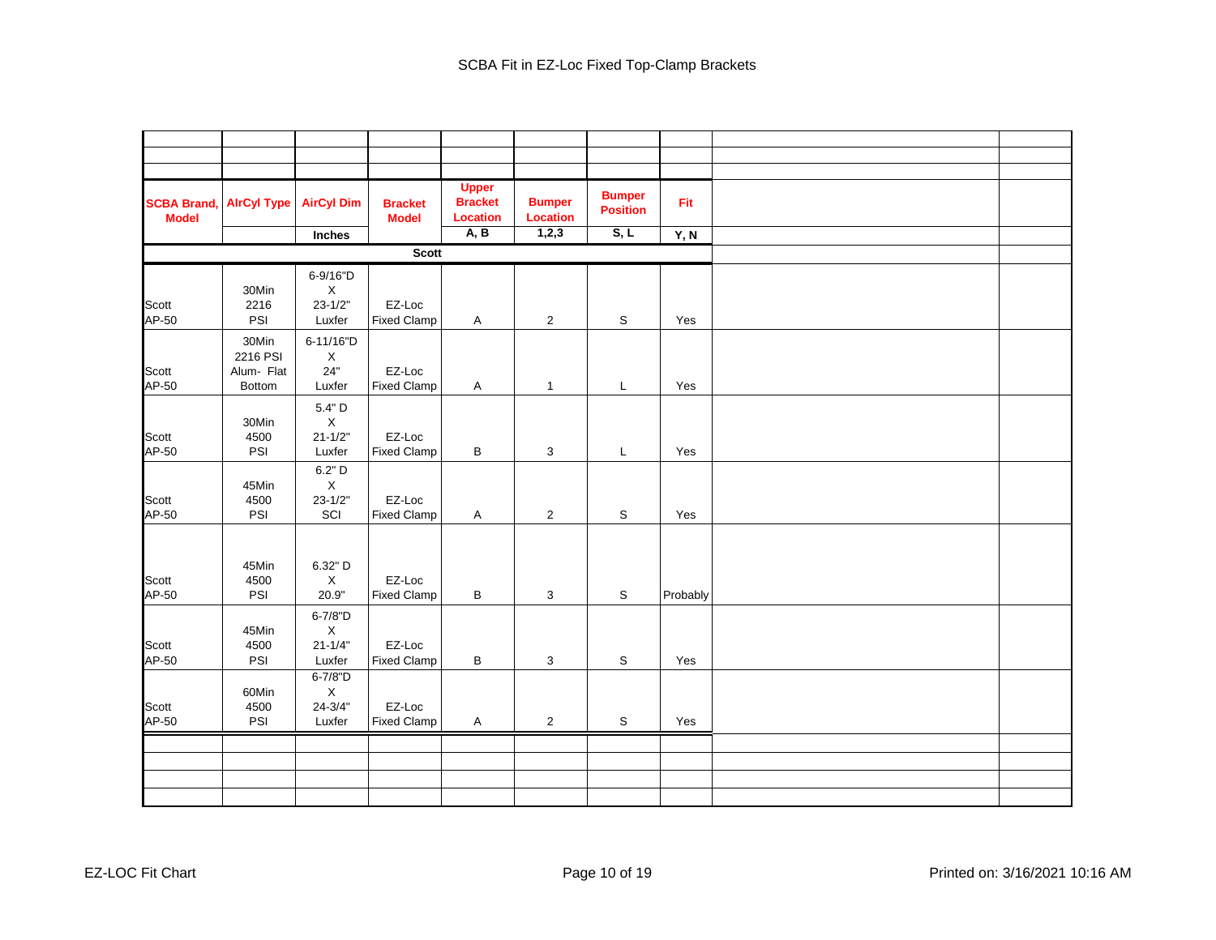| <b>SCBA Brand,</b><br><b>Model</b> | <b>AirCyl Type</b>     | <b>AirCyl Dim</b>                | <b>Bracket</b><br><b>Model</b> | <b>Upper</b><br><b>Bracket</b><br><b>Location</b> | <b>Bumper</b><br><b>Location</b> | <b>Bumper</b><br><b>Position</b> | Fit      |  |
|------------------------------------|------------------------|----------------------------------|--------------------------------|---------------------------------------------------|----------------------------------|----------------------------------|----------|--|
|                                    |                        | Inches                           |                                | A, B                                              | 1,2,3                            | S, L                             | Y, N     |  |
|                                    |                        |                                  | <b>Scott</b>                   |                                                   |                                  |                                  |          |  |
|                                    |                        | 6-9/16"D                         |                                |                                                   |                                  |                                  |          |  |
|                                    | 30Min                  | $\mathsf X$                      |                                |                                                   |                                  |                                  |          |  |
| Scott                              | 2216                   | $23 - 1/2"$                      | EZ-Loc                         |                                                   |                                  |                                  |          |  |
| AP-50                              | PSI                    | Luxfer                           | <b>Fixed Clamp</b>             | A                                                 | $\overline{2}$                   | S                                | Yes      |  |
|                                    | 30Min                  | 6-11/16"D                        |                                |                                                   |                                  |                                  |          |  |
| Scott                              | 2216 PSI<br>Alum- Flat | $\boldsymbol{\mathsf{X}}$<br>24" | EZ-Loc                         |                                                   |                                  |                                  |          |  |
| AP-50                              | <b>Bottom</b>          | Luxfer                           | <b>Fixed Clamp</b>             | Α                                                 | $\mathbf{1}$                     | L                                | Yes      |  |
|                                    |                        | 5.4" D                           |                                |                                                   |                                  |                                  |          |  |
|                                    | 30Min                  | $\boldsymbol{\mathsf{X}}$        |                                |                                                   |                                  |                                  |          |  |
| Scott                              | 4500                   | $21 - 1/2"$                      | EZ-Loc                         |                                                   |                                  |                                  |          |  |
| AP-50                              | PSI                    | Luxfer                           | <b>Fixed Clamp</b>             | В                                                 | 3                                | L                                | Yes      |  |
|                                    |                        | 6.2" D                           |                                |                                                   |                                  |                                  |          |  |
| Scott                              | 45Min<br>4500          | $\sf X$<br>$23 - 1/2"$           | EZ-Loc                         |                                                   |                                  |                                  |          |  |
| AP-50                              | PSI                    | SCI                              | <b>Fixed Clamp</b>             | Α                                                 | $\overline{2}$                   | S                                | Yes      |  |
|                                    |                        |                                  |                                |                                                   |                                  |                                  |          |  |
|                                    |                        |                                  |                                |                                                   |                                  |                                  |          |  |
|                                    | 45Min                  | 6.32" D                          |                                |                                                   |                                  |                                  |          |  |
| Scott                              | 4500                   | $\mathsf X$                      | EZ-Loc                         |                                                   |                                  |                                  |          |  |
| AP-50                              | PSI                    | 20.9"                            | <b>Fixed Clamp</b>             | B                                                 | 3                                | $\mathbb S$                      | Probably |  |
|                                    |                        | 6-7/8"D                          |                                |                                                   |                                  |                                  |          |  |
| Scott                              | 45Min<br>4500          | $\mathsf X$<br>$21 - 1/4"$       | EZ-Loc                         |                                                   |                                  |                                  |          |  |
| AP-50                              | PSI                    | Luxfer                           | <b>Fixed Clamp</b>             | В                                                 | 3                                | S                                | Yes      |  |
|                                    |                        | 6-7/8"D                          |                                |                                                   |                                  |                                  |          |  |
|                                    | 60Min                  | X                                |                                |                                                   |                                  |                                  |          |  |
| Scott<br>AP-50                     | 4500<br>PSI            | $24 - 3/4"$<br>Luxfer            | EZ-Loc<br><b>Fixed Clamp</b>   |                                                   |                                  |                                  |          |  |
|                                    |                        |                                  |                                | $\mathsf{A}$                                      | $\overline{2}$                   | $\mathbb S$                      | Yes      |  |
|                                    |                        |                                  |                                |                                                   |                                  |                                  |          |  |
|                                    |                        |                                  |                                |                                                   |                                  |                                  |          |  |
|                                    |                        |                                  |                                |                                                   |                                  |                                  |          |  |
|                                    |                        |                                  |                                |                                                   |                                  |                                  |          |  |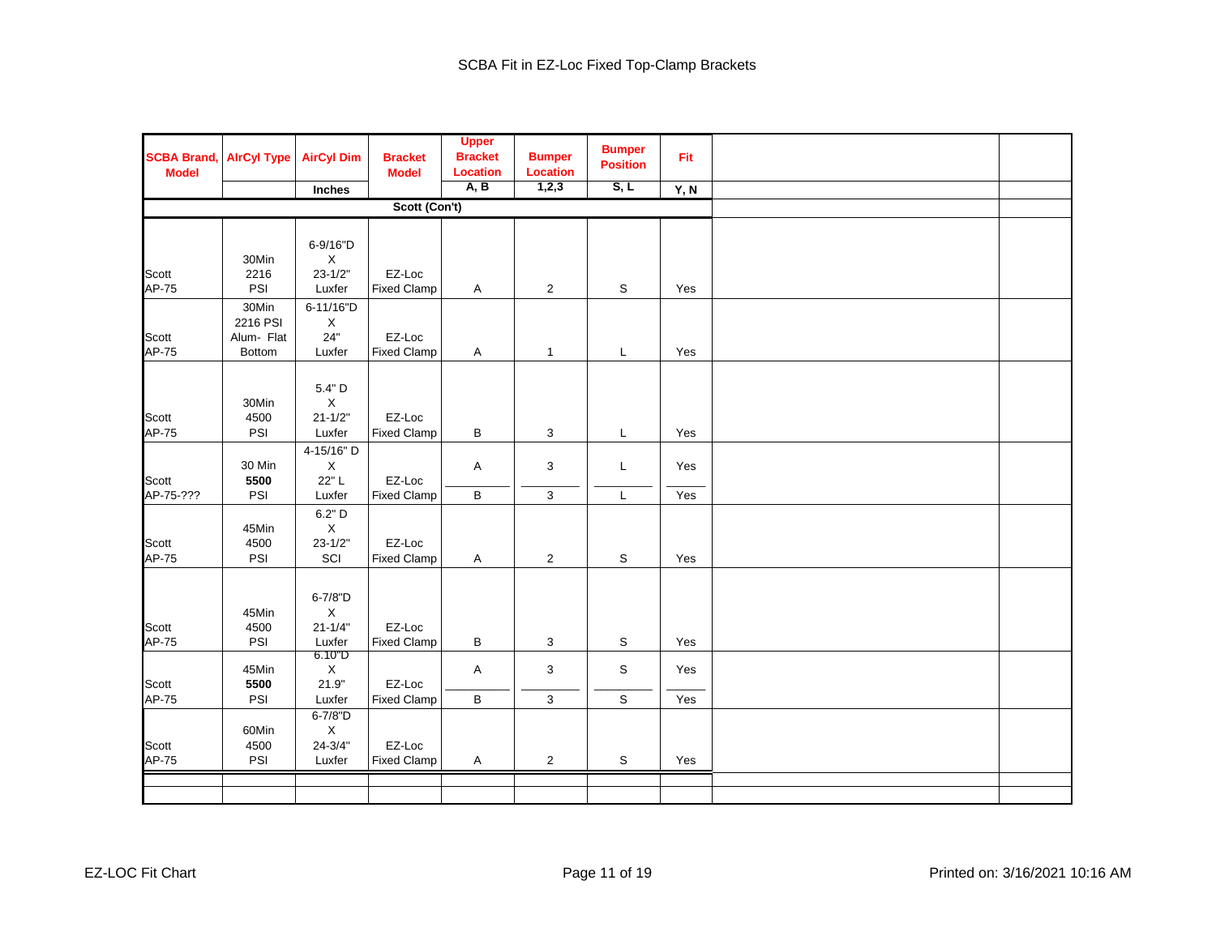| <b>SCBA Brand,</b><br><b>Model</b> | <b>AlrCyl Type</b>              | <b>AirCyl Dim</b><br>Inches                     | <b>Bracket</b><br><b>Model</b> | <b>Upper</b><br><b>Bracket</b><br><b>Location</b><br>A, B | <b>Bumper</b><br><b>Location</b><br>1,2,3 | <b>Bumper</b><br><b>Position</b><br>S, L | Fit<br>Y, N |  |
|------------------------------------|---------------------------------|-------------------------------------------------|--------------------------------|-----------------------------------------------------------|-------------------------------------------|------------------------------------------|-------------|--|
|                                    |                                 |                                                 | Scott (Con't)                  |                                                           |                                           |                                          |             |  |
|                                    |                                 |                                                 |                                |                                                           |                                           |                                          |             |  |
|                                    | 30Min                           | 6-9/16"D<br>$\mathsf X$                         |                                |                                                           |                                           |                                          |             |  |
| Scott<br>AP-75                     | 2216<br>PSI                     | $23 - 1/2"$<br>Luxfer                           | EZ-Loc<br><b>Fixed Clamp</b>   | Α                                                         | $\overline{2}$                            | S                                        | Yes         |  |
| Scott                              | 30Min<br>2216 PSI<br>Alum- Flat | 6-11/16"D<br>X<br>24"                           | EZ-Loc                         |                                                           |                                           |                                          |             |  |
| AP-75                              | Bottom                          | Luxfer                                          | <b>Fixed Clamp</b>             | Α                                                         | $\mathbf{1}$                              | L                                        | Yes         |  |
| Scott<br>AP-75                     | 30Min<br>4500<br>PSI            | 5.4" D<br>$\mathsf X$<br>$21 - 1/2"$<br>Luxfer  | EZ-Loc<br><b>Fixed Clamp</b>   | В                                                         | 3                                         | L                                        | Yes         |  |
|                                    |                                 | 4-15/16" D                                      |                                |                                                           |                                           |                                          |             |  |
| Scott                              | 30 Min<br>5500                  | $\mathsf X$<br>22"L                             | EZ-Loc                         | Α                                                         | 3                                         | L                                        | Yes         |  |
| AP-75-???                          | PSI                             | Luxfer                                          | <b>Fixed Clamp</b>             | B                                                         | 3                                         | L                                        | Yes         |  |
| Scott<br>AP-75                     | 45Min<br>4500<br>PSI            | 6.2" D<br>$\mathsf X$<br>$23 - 1/2"$<br>SCI     | EZ-Loc<br><b>Fixed Clamp</b>   | Α                                                         | $\overline{2}$                            | S                                        | Yes         |  |
| Scott<br>AP-75                     | 45Min<br>4500<br>PSI            | 6-7/8"D<br>X<br>$21 - 1/4"$<br>Luxfer           | EZ-Loc<br><b>Fixed Clamp</b>   | В                                                         | 3                                         | S                                        | Yes         |  |
| Scott                              | 45Min<br>5500                   | 6.10"D<br>X<br>21.9"                            | EZ-Loc                         | $\mathsf{A}$                                              | 3                                         | S                                        | Yes         |  |
| AP-75                              | PSI                             | Luxfer                                          | <b>Fixed Clamp</b>             | В                                                         | 3                                         | S                                        | Yes         |  |
| Scott<br>AP-75                     | 60Min<br>4500<br>PSI            | 6-7/8"D<br>$\mathsf X$<br>$24 - 3/4"$<br>Luxfer | EZ-Loc<br><b>Fixed Clamp</b>   | Α                                                         | $\overline{2}$                            | S                                        | Yes         |  |
|                                    |                                 |                                                 |                                |                                                           |                                           |                                          |             |  |
|                                    |                                 |                                                 |                                |                                                           |                                           |                                          |             |  |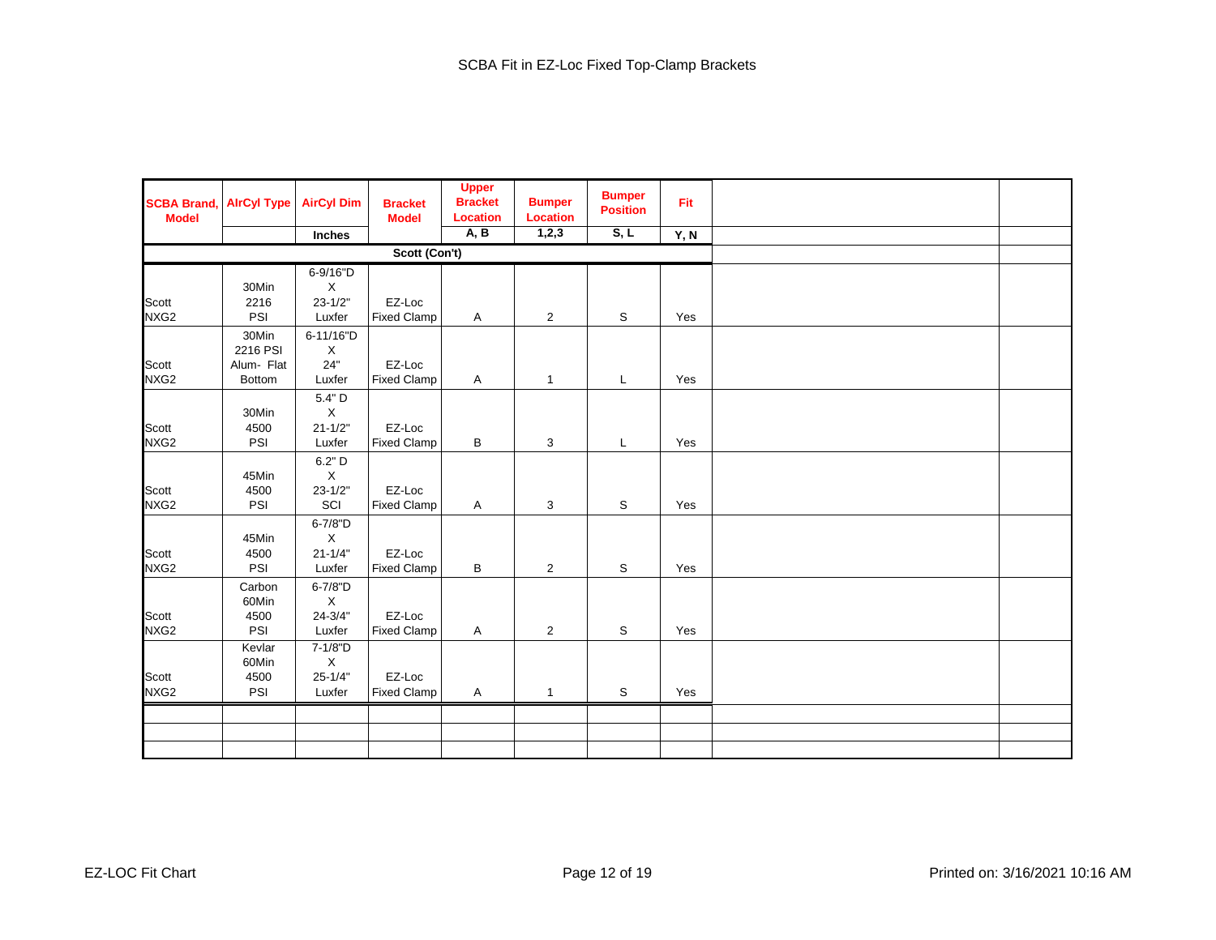| <b>SCBA Brand,</b><br><b>Model</b> | <b>AirCyl Type</b> | <b>AirCyl Dim</b>          | <b>Bracket</b><br><b>Model</b> | <b>Upper</b><br><b>Bracket</b><br><b>Location</b> | <b>Bumper</b><br><b>Location</b> | <b>Bumper</b><br><b>Position</b> | Fit  |  |
|------------------------------------|--------------------|----------------------------|--------------------------------|---------------------------------------------------|----------------------------------|----------------------------------|------|--|
|                                    |                    | Inches                     |                                | A, B                                              | 1,2,3                            | S, L                             | Y, N |  |
|                                    |                    |                            | Scott (Con't)                  |                                                   |                                  |                                  |      |  |
|                                    |                    | 6-9/16"D                   |                                |                                                   |                                  |                                  |      |  |
|                                    | 30Min              | $\mathsf X$<br>$23 - 1/2"$ | EZ-Loc                         |                                                   |                                  |                                  |      |  |
| Scott<br>NXG2                      | 2216<br>PSI        | Luxfer                     | <b>Fixed Clamp</b>             | $\mathsf{A}$                                      | $\overline{2}$                   | S                                | Yes  |  |
|                                    |                    |                            |                                |                                                   |                                  |                                  |      |  |
|                                    | 30Min              | 6-11/16"D                  |                                |                                                   |                                  |                                  |      |  |
|                                    | 2216 PSI           | X                          |                                |                                                   |                                  |                                  |      |  |
| Scott                              | Alum- Flat         | 24"                        | EZ-Loc                         |                                                   |                                  |                                  | Yes  |  |
| NXG2                               | Bottom             | Luxfer                     | <b>Fixed Clamp</b>             | Α                                                 | $\mathbf{1}$                     | L                                |      |  |
|                                    |                    | 5.4" D                     |                                |                                                   |                                  |                                  |      |  |
|                                    | 30Min              | $\mathsf X$                | EZ-Loc                         |                                                   |                                  |                                  |      |  |
| Scott<br>NXG2                      | 4500<br>PSI        | $21 - 1/2"$<br>Luxfer      | <b>Fixed Clamp</b>             | В                                                 | 3                                | L                                | Yes  |  |
|                                    |                    |                            |                                |                                                   |                                  |                                  |      |  |
|                                    |                    | 6.2" D                     |                                |                                                   |                                  |                                  |      |  |
|                                    | 45Min              | X                          |                                |                                                   |                                  |                                  |      |  |
| Scott<br>NXG <sub>2</sub>          | 4500<br>PSI        | $23 - 1/2"$<br>SCI         | EZ-Loc<br><b>Fixed Clamp</b>   | Α                                                 | 3                                | S                                | Yes  |  |
|                                    |                    |                            |                                |                                                   |                                  |                                  |      |  |
|                                    |                    | 6-7/8"D                    |                                |                                                   |                                  |                                  |      |  |
| Scott                              | 45Min<br>4500      | $\mathsf X$<br>$21 - 1/4"$ | EZ-Loc                         |                                                   |                                  |                                  |      |  |
| NXG2                               | PSI                | Luxfer                     | <b>Fixed Clamp</b>             | В                                                 | $\overline{2}$                   | S                                | Yes  |  |
|                                    |                    |                            |                                |                                                   |                                  |                                  |      |  |
|                                    | Carbon<br>60Min    | 6-7/8"D                    |                                |                                                   |                                  |                                  |      |  |
| Scott                              | 4500               | X<br>$24 - 3/4"$           | EZ-Loc                         |                                                   |                                  |                                  |      |  |
| NXG <sub>2</sub>                   | PSI                | Luxfer                     | <b>Fixed Clamp</b>             | $\mathsf{A}$                                      | $\overline{2}$                   | S                                | Yes  |  |
|                                    | Kevlar             | 7-1/8"D                    |                                |                                                   |                                  |                                  |      |  |
|                                    | 60Min              | $\mathsf X$                |                                |                                                   |                                  |                                  |      |  |
| Scott                              | 4500               | $25 - 1/4"$                | EZ-Loc                         |                                                   |                                  |                                  |      |  |
| NXG <sub>2</sub>                   | PSI                | Luxfer                     | <b>Fixed Clamp</b>             | $\mathsf{A}$                                      | $\mathbf{1}$                     | S                                | Yes  |  |
|                                    |                    |                            |                                |                                                   |                                  |                                  |      |  |
|                                    |                    |                            |                                |                                                   |                                  |                                  |      |  |
|                                    |                    |                            |                                |                                                   |                                  |                                  |      |  |
|                                    |                    |                            |                                |                                                   |                                  |                                  |      |  |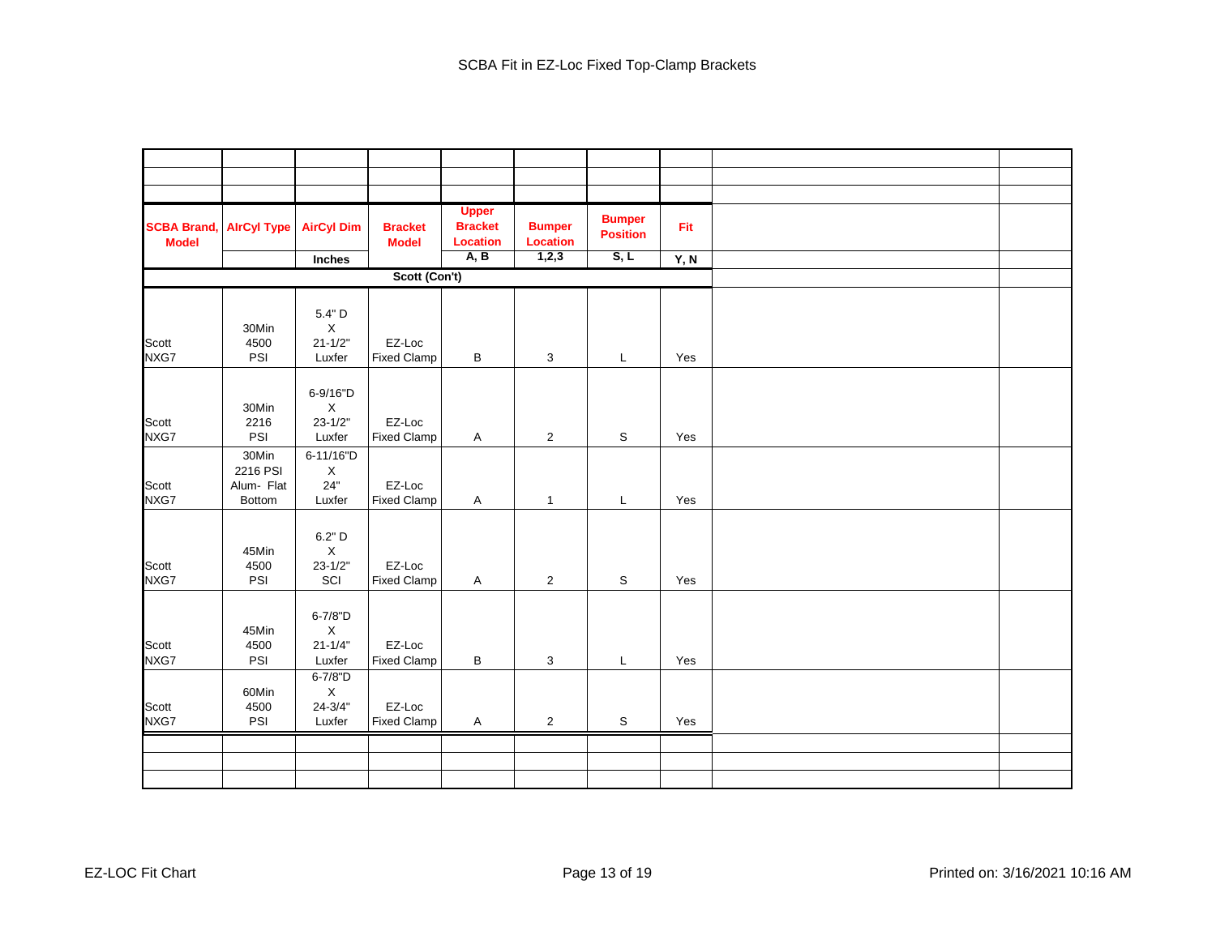| <b>SCBA Brand,</b><br><b>Model</b> | <b>AirCyl Type</b>                        | <b>AirCyl Dim</b>                                | <b>Bracket</b><br><b>Model</b> | <b>Upper</b><br><b>Bracket</b><br><b>Location</b> | <b>Bumper</b><br><b>Location</b> | <b>Bumper</b><br><b>Position</b> | Fit  |  |
|------------------------------------|-------------------------------------------|--------------------------------------------------|--------------------------------|---------------------------------------------------|----------------------------------|----------------------------------|------|--|
|                                    |                                           | Inches                                           |                                | A, B                                              | 1,2,3                            | S, L                             | Y, N |  |
|                                    |                                           |                                                  | Scott (Con't)                  |                                                   |                                  |                                  |      |  |
|                                    | 30Min                                     | 5.4" D<br>$\mathsf X$                            |                                |                                                   |                                  |                                  |      |  |
| Scott<br>NXG7                      | 4500<br>PSI                               | $21 - 1/2"$<br>Luxfer                            | EZ-Loc<br><b>Fixed Clamp</b>   | B                                                 | 3                                | L                                | Yes  |  |
| Scott<br>NXG7                      | 30Min<br>2216<br>PSI                      | 6-9/16"D<br>$\mathsf X$<br>$23 - 1/2"$<br>Luxfer | EZ-Loc<br><b>Fixed Clamp</b>   | $\boldsymbol{\mathsf{A}}$                         | $\overline{2}$                   | $\mathbb S$                      | Yes  |  |
| Scott<br>NXG7                      | 30Min<br>2216 PSI<br>Alum- Flat<br>Bottom | 6-11/16"D<br>$\mathsf X$<br>24"<br>Luxfer        | EZ-Loc<br><b>Fixed Clamp</b>   | A                                                 | $\mathbf{1}$                     | L                                | Yes  |  |
| Scott<br>NXG7                      | 45Min<br>4500<br>PSI                      | 6.2" D<br>$\mathsf X$<br>$23 - 1/2"$<br>SCI      | EZ-Loc<br><b>Fixed Clamp</b>   | $\mathsf{A}$                                      | $\overline{2}$                   | S                                | Yes  |  |
| Scott<br>NXG7                      | 45Min<br>4500<br>PSI                      | 6-7/8"D<br>$\mathsf X$<br>$21 - 1/4"$<br>Luxfer  | EZ-Loc<br><b>Fixed Clamp</b>   | В                                                 | 3                                | L                                | Yes  |  |
| Scott<br>NXG7                      | 60Min<br>4500<br>PSI                      | 6-7/8"D<br>$\mathsf X$<br>$24 - 3/4"$<br>Luxfer  | EZ-Loc<br><b>Fixed Clamp</b>   | Α                                                 | $\overline{2}$                   | $\mathbb S$                      | Yes  |  |
|                                    |                                           |                                                  |                                |                                                   |                                  |                                  |      |  |
|                                    |                                           |                                                  |                                |                                                   |                                  |                                  |      |  |
|                                    |                                           |                                                  |                                |                                                   |                                  |                                  |      |  |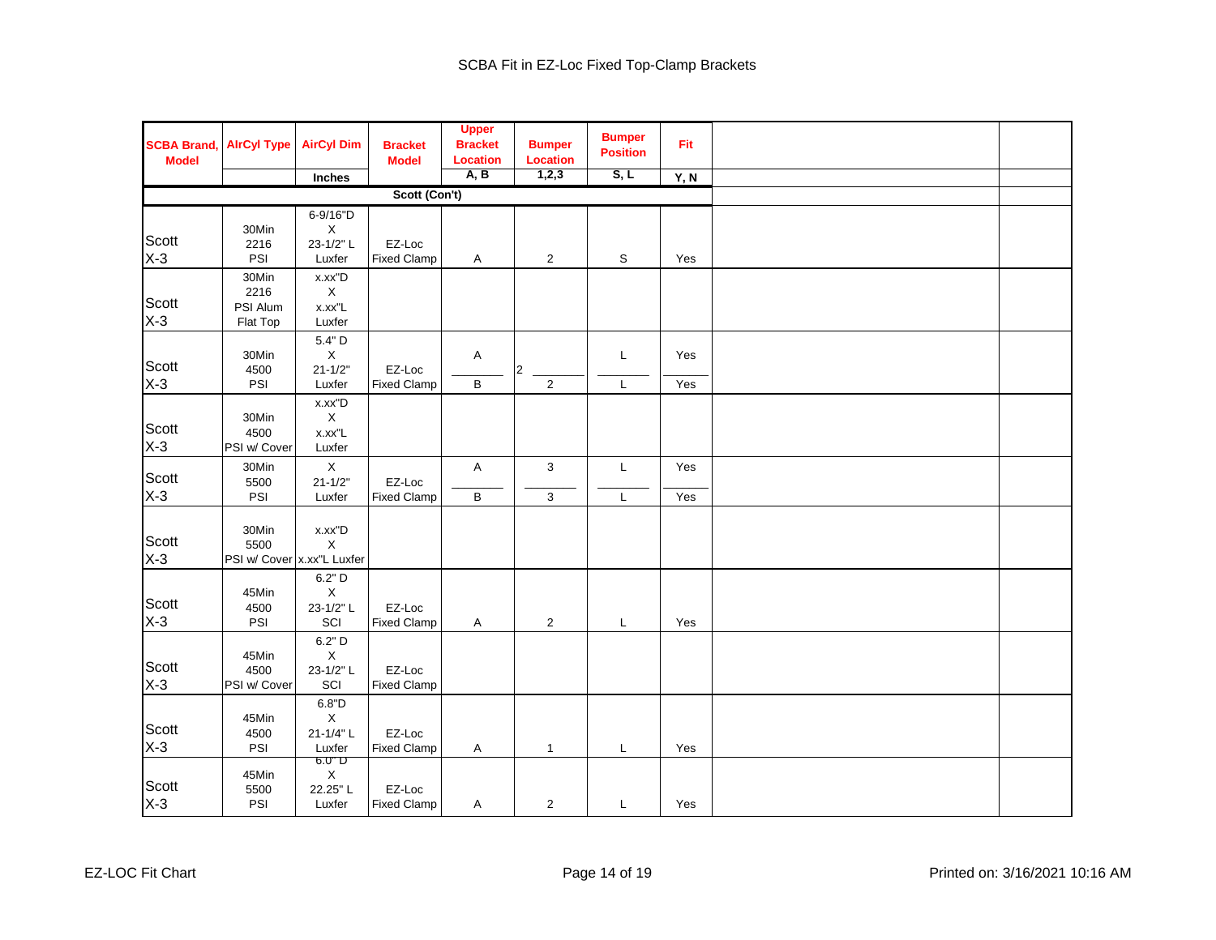| <b>SCBA Brand,</b><br><b>Model</b> | <b>AirCyl Type</b>                          | <b>AirCyl Dim</b>                              | <b>Bracket</b><br><b>Model</b> | <b>Upper</b><br><b>Bracket</b><br><b>Location</b> | <b>Bumper</b><br><b>Location</b> | <b>Bumper</b><br><b>Position</b> | Fit        |  |
|------------------------------------|---------------------------------------------|------------------------------------------------|--------------------------------|---------------------------------------------------|----------------------------------|----------------------------------|------------|--|
|                                    |                                             | Inches                                         |                                | A, B                                              | 1,2,3                            | S, L                             | Y, N       |  |
|                                    |                                             |                                                | Scott (Con't)                  |                                                   |                                  |                                  |            |  |
| Scott<br>$X-3$                     | 30Min<br>2216<br>PSI                        | 6-9/16"D<br>$\mathsf X$<br>23-1/2"L<br>Luxfer  | EZ-Loc<br><b>Fixed Clamp</b>   | A                                                 | $\overline{2}$                   | S                                | Yes        |  |
| Scott<br>$X-3$                     | 30Min<br>2216<br>PSI Alum<br>Flat Top       | x.xx"D<br>$\mathsf X$<br>x.xx"L<br>Luxfer      |                                |                                                   |                                  |                                  |            |  |
| Scott<br>$X-3$                     | 30Min<br>4500<br>PSI                        | 5.4" D<br>$\mathsf X$<br>$21 - 1/2"$<br>Luxfer | EZ-Loc<br><b>Fixed Clamp</b>   | Α<br>B                                            | $ 2\rangle$<br>$\overline{2}$    | L<br>L                           | Yes<br>Yes |  |
| Scott<br>$X-3$                     | 30Min<br>4500<br>PSI w/ Cover               | x.xx"D<br>$\mathsf X$<br>x.xx"L<br>Luxfer      |                                |                                                   |                                  |                                  |            |  |
| Scott<br>$X-3$                     | 30Min<br>5500<br>PSI                        | $\mathsf X$<br>$21 - 1/2"$<br>Luxfer           | EZ-Loc<br><b>Fixed Clamp</b>   | A<br>B                                            | 3<br>3                           | L<br>L                           | Yes<br>Yes |  |
| Scott<br>$X-3$                     | 30Min<br>5500<br>PSI w/ Cover x.xx"L Luxfer | x.xx"D<br>$\mathsf X$                          |                                |                                                   |                                  |                                  |            |  |
| Scott<br>$X-3$                     | 45Min<br>4500<br>PSI                        | 6.2" D<br>$\mathsf X$<br>23-1/2"L<br>SCI       | EZ-Loc<br><b>Fixed Clamp</b>   | Α                                                 | $\overline{2}$                   | L                                | Yes        |  |
| Scott<br>$X-3$                     | 45Min<br>4500<br>PSI w/ Cover               | 6.2" D<br>$\mathsf X$<br>23-1/2" L<br>SCI      | EZ-Loc<br><b>Fixed Clamp</b>   |                                                   |                                  |                                  |            |  |
| Scott<br>$X-3$                     | 45Min<br>4500<br>PSI                        | 6.8"D<br>$\mathsf X$<br>21-1/4"L<br>Luxfer     | EZ-Loc<br><b>Fixed Clamp</b>   | A                                                 | $\mathbf{1}$                     | L                                | Yes        |  |
| Scott<br>$X-3$                     | 45Min<br>5500<br>PSI                        | $6.0"$ D<br>$\mathsf X$<br>22.25"L<br>Luxfer   | EZ-Loc<br><b>Fixed Clamp</b>   | Α                                                 | $\overline{2}$                   | L                                | Yes        |  |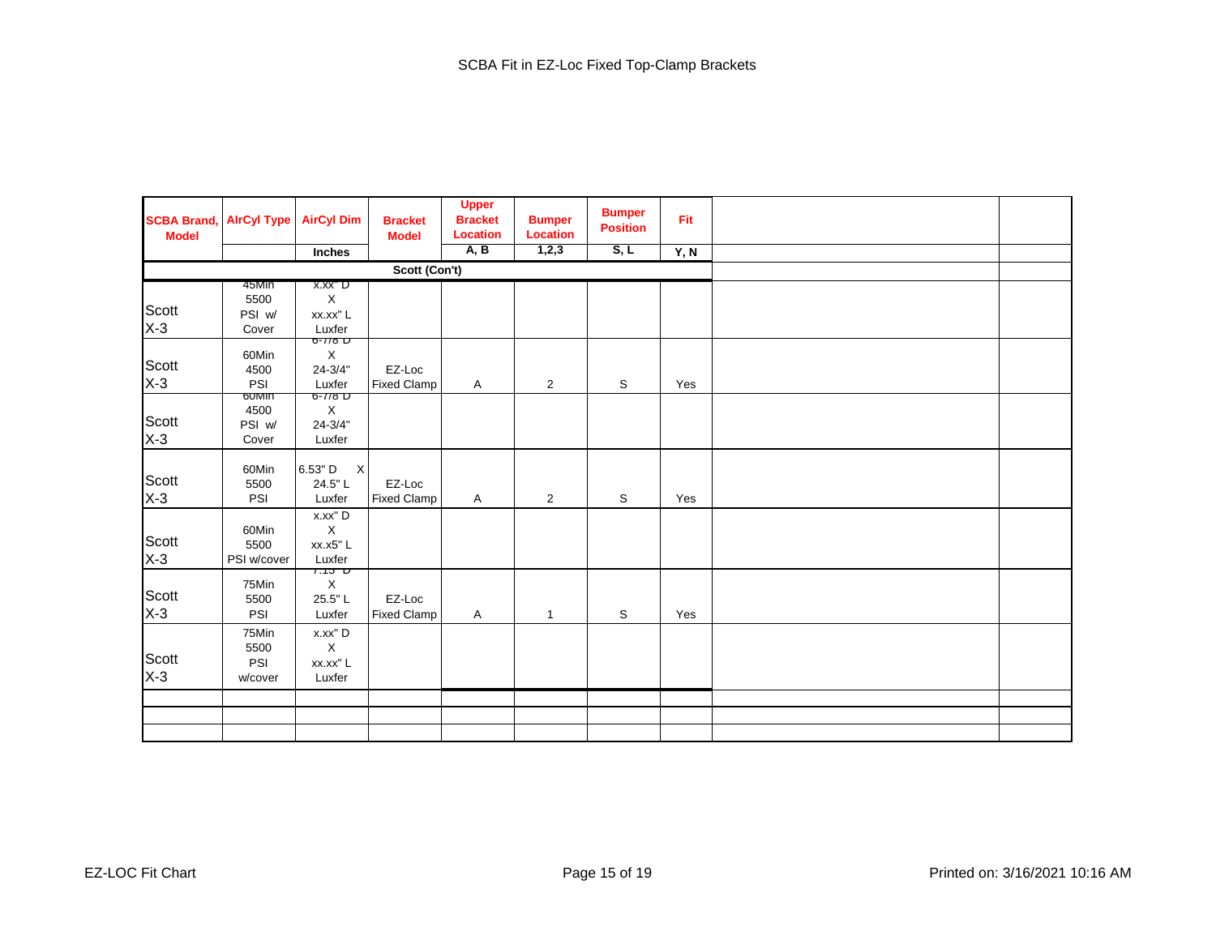| <b>SCBA Brand,</b><br><b>Model</b> | <b>AlrCyl Type</b>              | <b>AirCyl Dim</b>                                          | <b>Bracket</b><br><b>Model</b> | <b>Upper</b><br><b>Bracket</b><br><b>Location</b> | <b>Bumper</b><br><b>Location</b> | <b>Bumper</b><br><b>Position</b> | Fit  |  |
|------------------------------------|---------------------------------|------------------------------------------------------------|--------------------------------|---------------------------------------------------|----------------------------------|----------------------------------|------|--|
|                                    |                                 | Inches                                                     |                                | A, B                                              | 1,2,3                            | S, L                             | Y, N |  |
|                                    |                                 |                                                            | Scott (Con't)                  |                                                   |                                  |                                  |      |  |
|                                    | 45Min                           | x.xx" D                                                    |                                |                                                   |                                  |                                  |      |  |
|                                    | 5500                            | $\mathsf X$                                                |                                |                                                   |                                  |                                  |      |  |
| Scott<br>X-3                       | PSI w/                          | xx.xx" L                                                   |                                |                                                   |                                  |                                  |      |  |
|                                    | Cover                           | Luxfer<br>$6 - 118$ D                                      |                                |                                                   |                                  |                                  |      |  |
| Scott<br>$X-3$                     | 60Min<br>4500<br>PSI            | X<br>$24 - 3/4"$<br>Luxfer                                 | EZ-Loc<br><b>Fixed Clamp</b>   | A                                                 | $\overline{2}$                   | S                                | Yes  |  |
|                                    | poinin                          | $6 - 118$ D                                                |                                |                                                   |                                  |                                  |      |  |
|                                    | 4500                            | $\mathsf X$                                                |                                |                                                   |                                  |                                  |      |  |
| Scott<br>X-3                       | PSI w/                          | $24 - 3/4"$                                                |                                |                                                   |                                  |                                  |      |  |
|                                    | Cover                           | Luxfer                                                     |                                |                                                   |                                  |                                  |      |  |
| Scott<br>$X-3$                     | 60Min<br>5500<br>PSI            | $6.53"$ D<br>$\boldsymbol{\mathsf{X}}$<br>24.5"L<br>Luxfer | EZ-Loc<br><b>Fixed Clamp</b>   | A                                                 | $\overline{2}$                   | S                                | Yes  |  |
| Scott<br>$X-3$                     | 60Min<br>5500<br>PSI w/cover    | x.xx" D<br>$\mathsf X$<br>xx.x5"L<br>Luxfer                |                                |                                                   |                                  |                                  |      |  |
| Scott<br>$X-3$                     | 75Min<br>5500<br>PSI            | $7.15$ ט<br>$\mathsf X$<br>25.5"L<br>Luxfer                | EZ-Loc<br><b>Fixed Clamp</b>   | A                                                 | $\mathbf{1}$                     | S                                | Yes  |  |
| Scott<br>$X-3$                     | 75Min<br>5500<br>PSI<br>w/cover | x.xx" D<br>$\mathsf X$<br>xx.xx" L<br>Luxfer               |                                |                                                   |                                  |                                  |      |  |
|                                    |                                 |                                                            |                                |                                                   |                                  |                                  |      |  |
|                                    |                                 |                                                            |                                |                                                   |                                  |                                  |      |  |
|                                    |                                 |                                                            |                                |                                                   |                                  |                                  |      |  |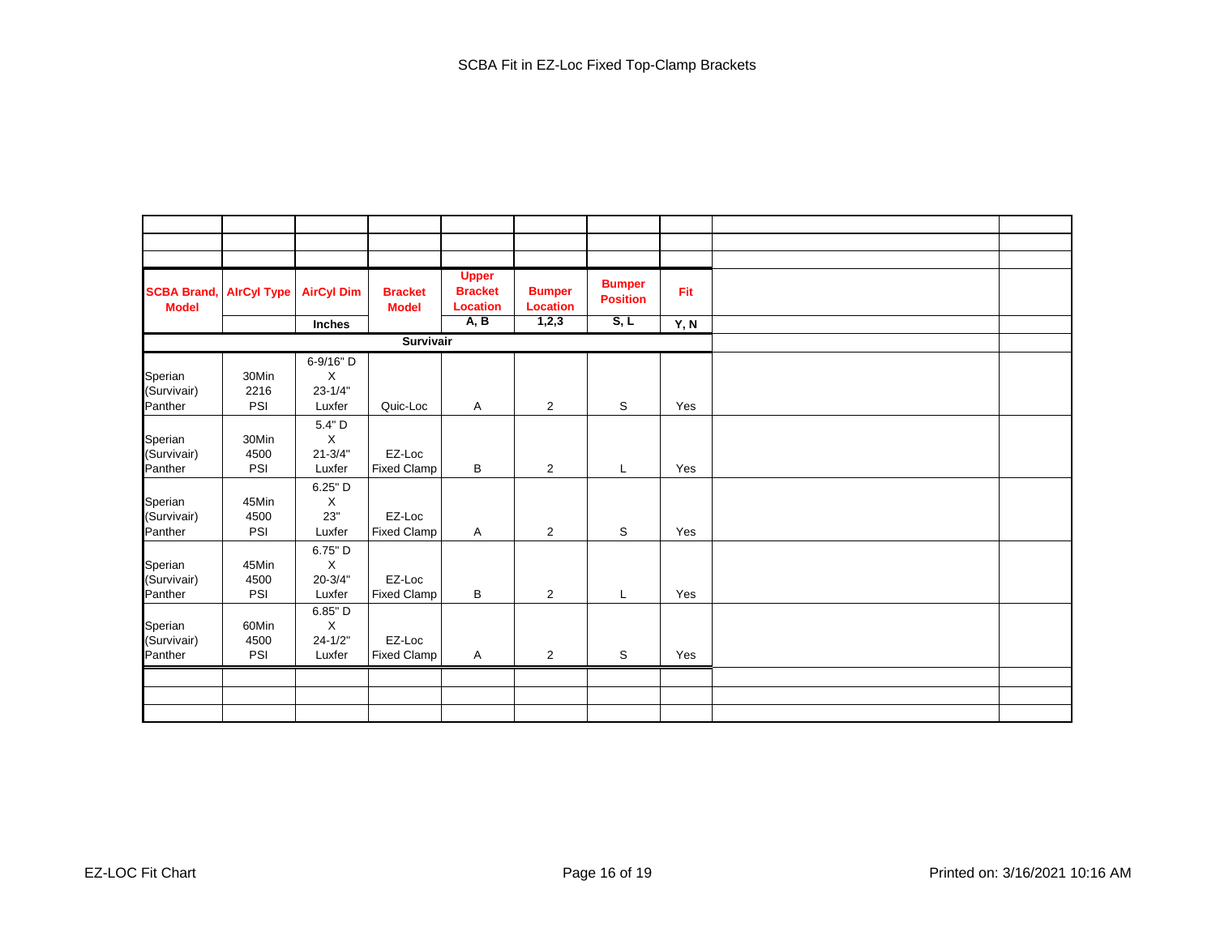| <b>SCBA Brand,</b><br><b>Model</b> | <b>AirCyl Type</b> | <b>AirCyl Dim</b> | <b>Bracket</b><br><b>Model</b> | <b>Upper</b><br><b>Bracket</b><br><b>Location</b> | <b>Bumper</b><br>Location | <b>Bumper</b><br><b>Position</b> | Fit  |  |
|------------------------------------|--------------------|-------------------|--------------------------------|---------------------------------------------------|---------------------------|----------------------------------|------|--|
|                                    |                    | Inches            |                                | A, B                                              | 1,2,3                     | S, L                             | Y, N |  |
|                                    |                    |                   | Survivair                      |                                                   |                           |                                  |      |  |
|                                    |                    | 6-9/16" D         |                                |                                                   |                           |                                  |      |  |
| Sperian                            | 30Min              | X                 |                                |                                                   |                           |                                  |      |  |
| (Survivair)                        | 2216               | $23 - 1/4"$       |                                |                                                   |                           |                                  |      |  |
| Panther                            | PSI                | Luxfer            | Quic-Loc                       | A                                                 | $\overline{2}$            | S                                | Yes  |  |
|                                    |                    | $5.4"$ D          |                                |                                                   |                           |                                  |      |  |
| Sperian                            | 30Min              | $\mathsf X$       |                                |                                                   |                           |                                  |      |  |
| (Survivair)                        | 4500               | $21 - 3/4"$       | EZ-Loc                         |                                                   |                           |                                  |      |  |
| Panther                            | PSI                | Luxfer            | <b>Fixed Clamp</b>             | B                                                 | $\overline{2}$            | L                                | Yes  |  |
|                                    |                    | 6.25" D           |                                |                                                   |                           |                                  |      |  |
| Sperian                            | 45Min              | X                 |                                |                                                   |                           |                                  |      |  |
| (Survivair)                        | 4500               | 23"               | EZ-Loc                         |                                                   |                           |                                  |      |  |
| Panther                            | PSI                | Luxfer            | <b>Fixed Clamp</b>             | A                                                 | $\overline{2}$            | S                                | Yes  |  |
|                                    |                    | 6.75" D           |                                |                                                   |                           |                                  |      |  |
| Sperian                            | 45Min              | X                 |                                |                                                   |                           |                                  |      |  |
| (Survivair)                        | 4500               | $20 - 3/4"$       | EZ-Loc                         |                                                   |                           |                                  |      |  |
| Panther                            | PSI                | Luxfer            | <b>Fixed Clamp</b>             | В                                                 | $\overline{2}$            | L                                | Yes  |  |
|                                    |                    | 6.85" D           |                                |                                                   |                           |                                  |      |  |
| Sperian                            | 60Min              | X                 |                                |                                                   |                           |                                  |      |  |
| (Survivair)                        | 4500               | $24 - 1/2"$       | EZ-Loc                         |                                                   |                           |                                  |      |  |
| Panther                            | PSI                | Luxfer            | <b>Fixed Clamp</b>             | A                                                 | $\overline{2}$            | S                                | Yes  |  |
|                                    |                    |                   |                                |                                                   |                           |                                  |      |  |
|                                    |                    |                   |                                |                                                   |                           |                                  |      |  |
|                                    |                    |                   |                                |                                                   |                           |                                  |      |  |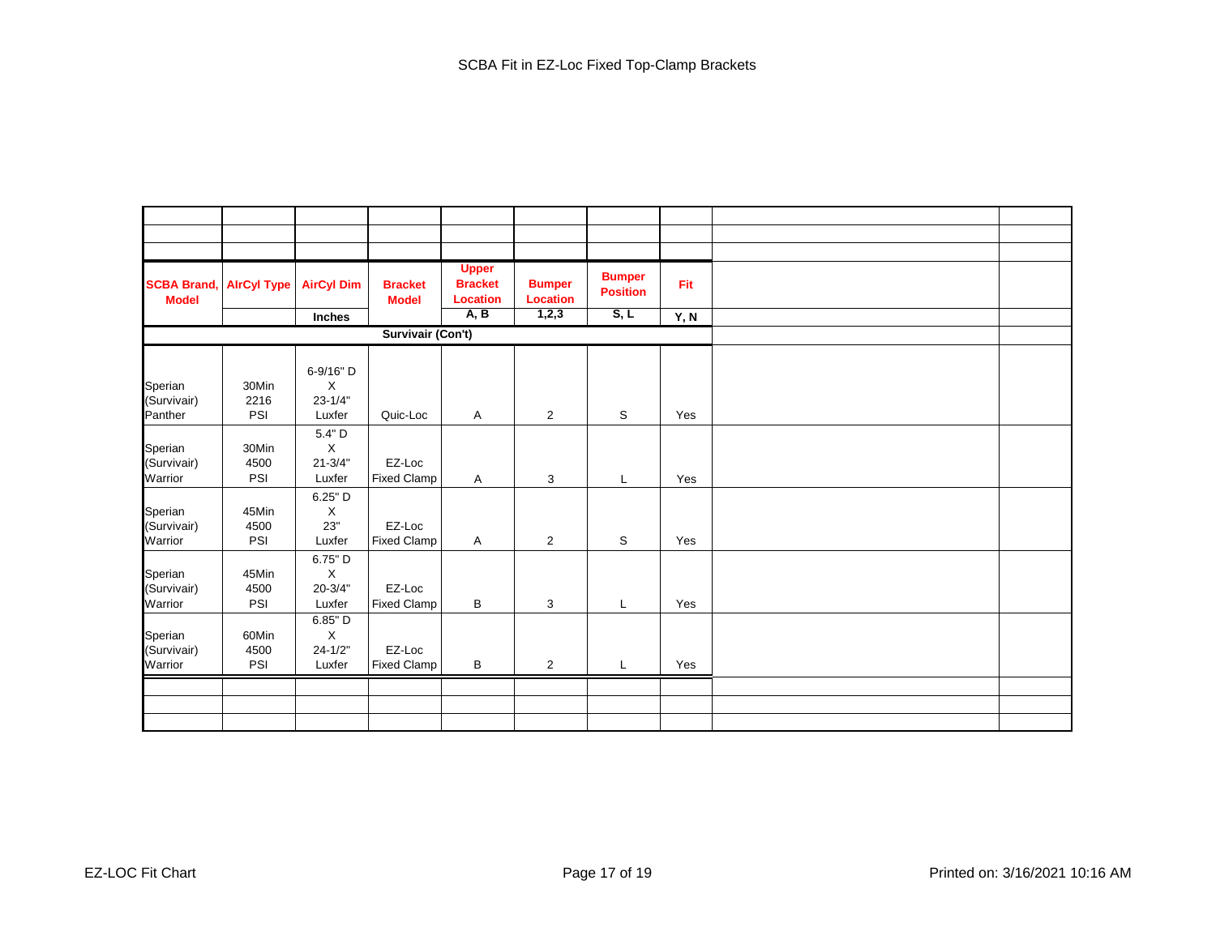| <b>SCBA Brand,</b><br><b>Model</b> | <b>AirCyl Type</b> | <b>AirCyl Dim</b> | <b>Bracket</b><br><b>Model</b> | <b>Upper</b><br><b>Bracket</b><br><b>Location</b> | <b>Bumper</b><br><b>Location</b> | <b>Bumper</b><br><b>Position</b> | Fit  |  |
|------------------------------------|--------------------|-------------------|--------------------------------|---------------------------------------------------|----------------------------------|----------------------------------|------|--|
|                                    |                    | Inches            |                                | A, B                                              | 1,2,3                            | S, L                             | Y, N |  |
|                                    |                    |                   | <b>Survivair (Con't)</b>       |                                                   |                                  |                                  |      |  |
|                                    |                    |                   |                                |                                                   |                                  |                                  |      |  |
|                                    |                    | 6-9/16" D         |                                |                                                   |                                  |                                  |      |  |
| Sperian                            | 30Min              | X                 |                                |                                                   |                                  |                                  |      |  |
| (Survivair)                        | 2216               | $23 - 1/4"$       |                                |                                                   |                                  |                                  |      |  |
| Panther                            | PSI                | Luxfer            | Quic-Loc                       | Α                                                 | $\overline{2}$                   | S                                | Yes  |  |
|                                    |                    | 5.4" D            |                                |                                                   |                                  |                                  |      |  |
| Sperian                            | 30Min              | X                 |                                |                                                   |                                  |                                  |      |  |
| (Survivair)                        | 4500               | $21 - 3/4"$       | EZ-Loc                         |                                                   |                                  |                                  |      |  |
| Warrior                            | PSI                | Luxfer            | <b>Fixed Clamp</b>             | Α                                                 | 3                                | L                                | Yes  |  |
|                                    |                    | 6.25" D           |                                |                                                   |                                  |                                  |      |  |
| Sperian                            | 45Min              | X                 |                                |                                                   |                                  |                                  |      |  |
| (Survivair)                        | 4500               | 23"               | EZ-Loc                         |                                                   |                                  |                                  |      |  |
| Warrior                            | PSI                | Luxfer            | <b>Fixed Clamp</b>             | Α                                                 | $\overline{2}$                   | S                                | Yes  |  |
|                                    |                    | 6.75" D           |                                |                                                   |                                  |                                  |      |  |
| Sperian                            | 45Min              | X                 |                                |                                                   |                                  |                                  |      |  |
| (Survivair)                        | 4500               | $20 - 3/4"$       | EZ-Loc                         |                                                   |                                  |                                  |      |  |
| Warrior                            | PSI                | Luxfer            | <b>Fixed Clamp</b>             | В                                                 | 3                                | L                                | Yes  |  |
|                                    |                    | 6.85" D           |                                |                                                   |                                  |                                  |      |  |
| Sperian                            | 60Min              | X                 |                                |                                                   |                                  |                                  |      |  |
| (Survivair)                        | 4500               | $24 - 1/2"$       | EZ-Loc                         |                                                   |                                  |                                  |      |  |
| Warrior                            | PSI                | Luxfer            | <b>Fixed Clamp</b>             | B                                                 | $\overline{2}$                   | L                                | Yes  |  |
|                                    |                    |                   |                                |                                                   |                                  |                                  |      |  |
|                                    |                    |                   |                                |                                                   |                                  |                                  |      |  |
|                                    |                    |                   |                                |                                                   |                                  |                                  |      |  |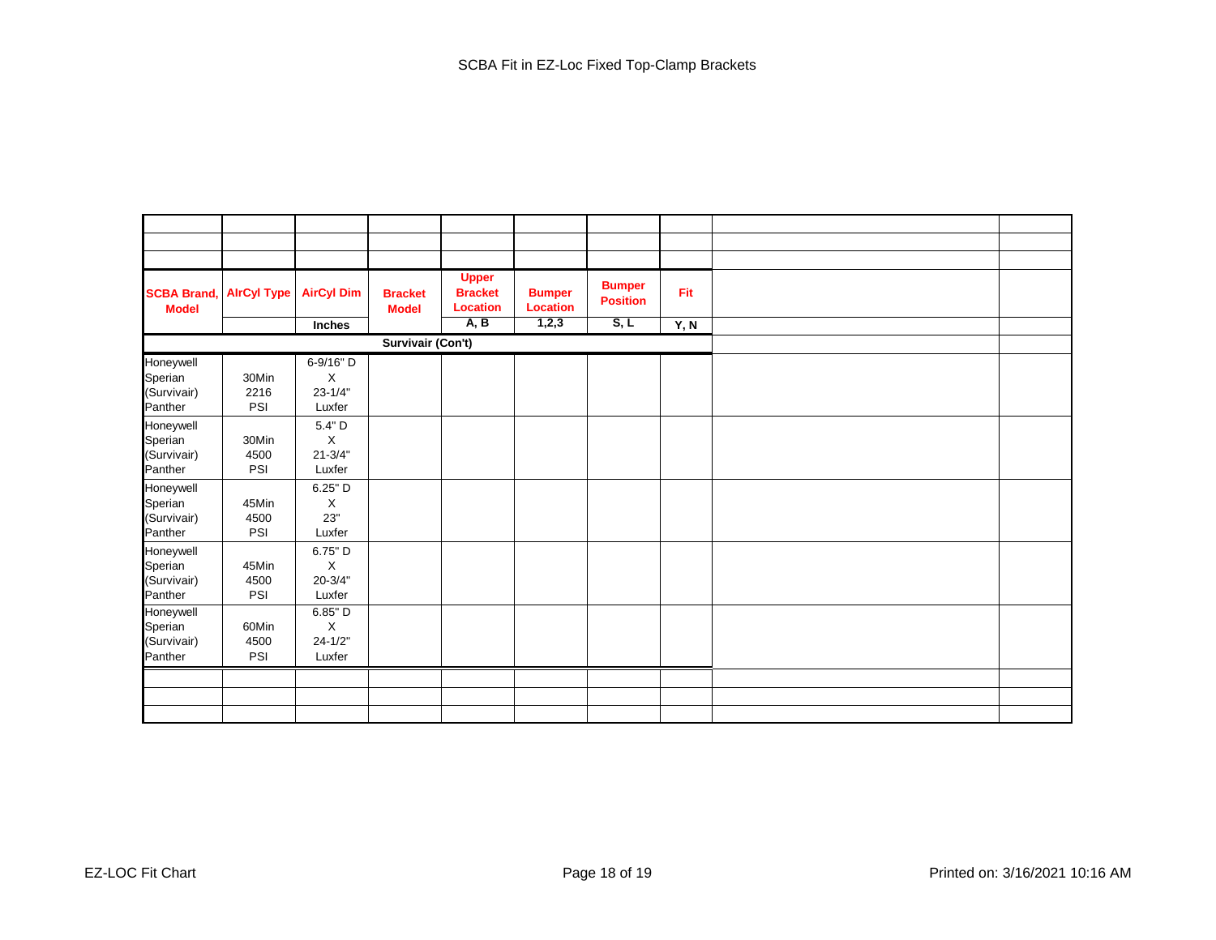| <b>SCBA Brand,</b><br><b>Model</b>             | <b>AirCyl Type</b>   | <b>AirCyl Dim</b>                       | <b>Bracket</b><br><b>Model</b> | <b>Upper</b><br><b>Bracket</b><br><b>Location</b> | <b>Bumper</b><br><b>Location</b> | <b>Bumper</b><br><b>Position</b> | Fit  |
|------------------------------------------------|----------------------|-----------------------------------------|--------------------------------|---------------------------------------------------|----------------------------------|----------------------------------|------|
|                                                |                      | Inches                                  |                                | A, B                                              | 1,2,3                            | S, L                             | Y, N |
|                                                |                      |                                         | Survivair (Con't)              |                                                   |                                  |                                  |      |
| Honeywell<br>Sperian<br>(Survivair)<br>Panther | 30Min<br>2216<br>PSI | 6-9/16" D<br>X<br>$23 - 1/4"$<br>Luxfer |                                |                                                   |                                  |                                  |      |
| Honeywell<br>Sperian<br>(Survivair)<br>Panther | 30Min<br>4500<br>PSI | $5.4"$ D<br>X<br>$21 - 3/4"$<br>Luxfer  |                                |                                                   |                                  |                                  |      |
| Honeywell<br>Sperian<br>(Survivair)<br>Panther | 45Min<br>4500<br>PSI | $6.25"$ D<br>X<br>23"<br>Luxfer         |                                |                                                   |                                  |                                  |      |
| Honeywell<br>Sperian<br>(Survivair)<br>Panther | 45Min<br>4500<br>PSI | 6.75" D<br>X<br>$20 - 3/4"$<br>Luxfer   |                                |                                                   |                                  |                                  |      |
| Honeywell<br>Sperian<br>(Survivair)<br>Panther | 60Min<br>4500<br>PSI | 6.85" D<br>X<br>$24 - 1/2"$<br>Luxfer   |                                |                                                   |                                  |                                  |      |
|                                                |                      |                                         |                                |                                                   |                                  |                                  |      |
|                                                |                      |                                         |                                |                                                   |                                  |                                  |      |
|                                                |                      |                                         |                                |                                                   |                                  |                                  |      |